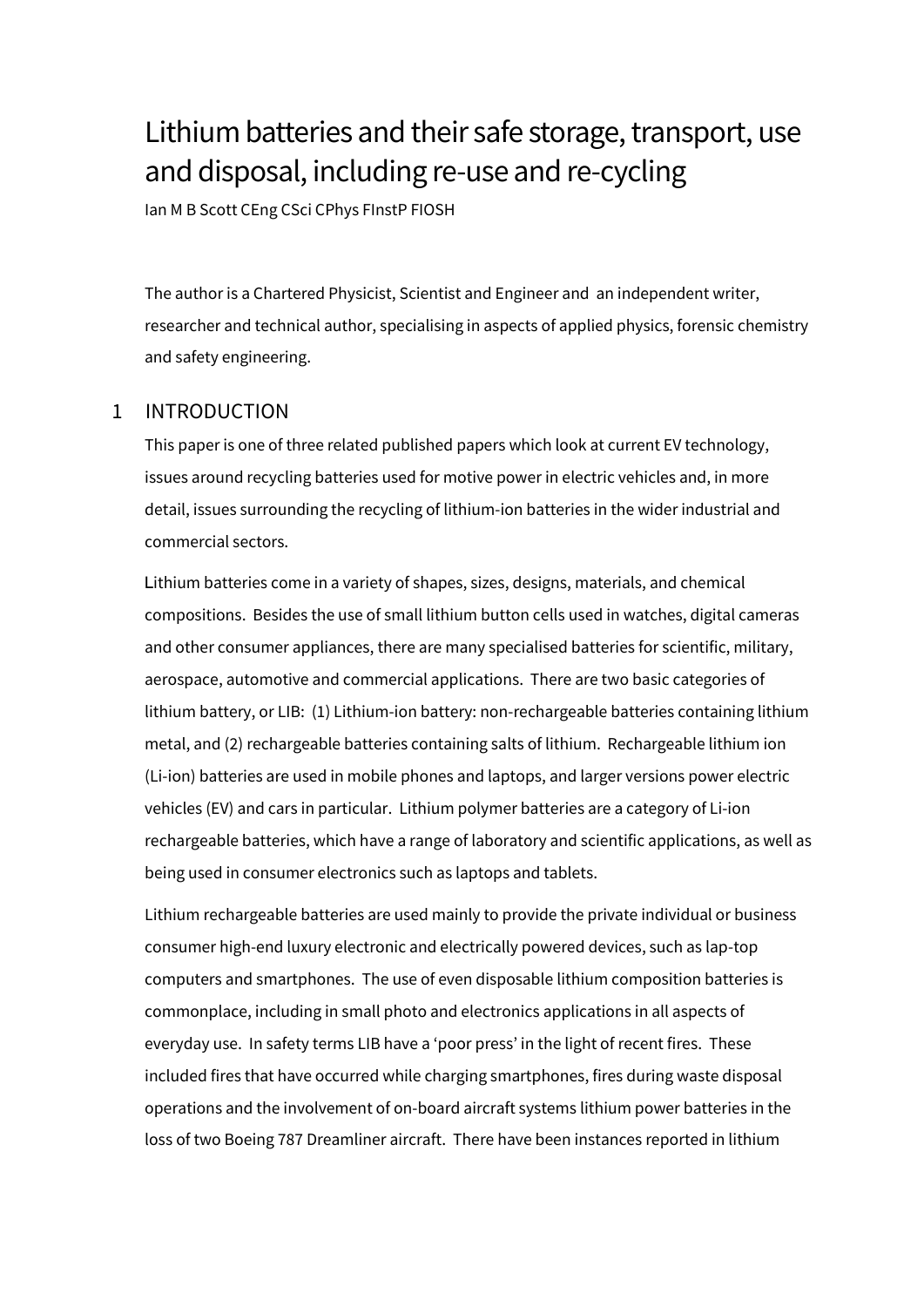# Lithium batteries and their safe storage, transport, use and disposal, including re-use and re-cycling

Ian M B Scott CEng CSci CPhys FInstP FIOSH

The author is a Chartered Physicist, Scientist and Engineer and an independent writer, researcher and technical author, specialising in aspects of applied physics, forensic chemistry and safety engineering.

# 1 INTRODUCTION

This paper is one of three related published papers which look at current EV technology, issues around recycling batteries used for motive power in electric vehicles and, in more detail, issues surrounding the recycling of lithium-ion batteries in the wider industrial and commercial sectors.

Lithium batteries come in a variety of shapes, sizes, designs, materials, and chemical compositions. Besides the use of small lithium button cells used in watches, digital cameras and other consumer appliances, there are many specialised batteries for scientific, military, aerospace, automotive and commercial applications. There are two basic categories of lithium battery, or LIB: (1) Lithium-ion battery: non-rechargeable batteries containing lithium metal, and (2) rechargeable batteries containing salts of lithium. Rechargeable lithium ion (Li-ion) batteries are used in mobile phones and laptops, and larger versions power electric vehicles (EV) and cars in particular. Lithium polymer batteries are a category of Li-ion rechargeable batteries, which have a range of laboratory and scientific applications, as well as being used in consumer electronics such as laptops and tablets.

Lithium rechargeable batteries are used mainly to provide the private individual or business consumer high-end luxury electronic and electrically powered devices, such as lap-top computers and smartphones. The use of even disposable lithium composition batteries is commonplace, including in small photo and electronics applications in all aspects of everyday use. In safety terms LIB have a 'poor press' in the light of recent fires. These included fires that have occurred while charging smartphones, fires during waste disposal operations and the involvement of on-board aircraft systems lithium power batteries in the loss of two Boeing 787 Dreamliner aircraft. There have been instances reported in lithium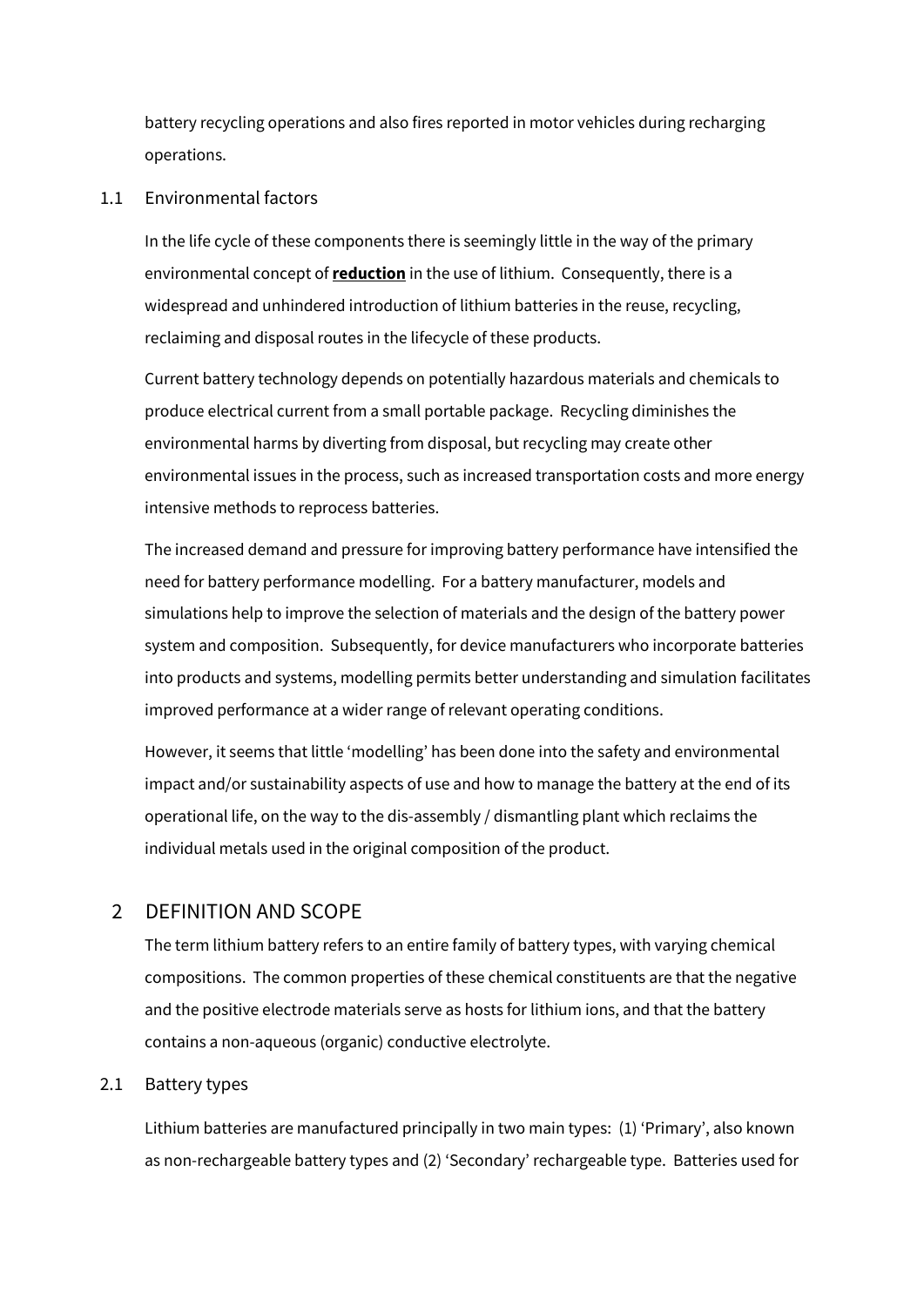battery recycling operations and also fires reported in motor vehicles during recharging operations.

#### 1.1 Environmental factors

In the life cycle of these components there is seemingly little in the way of the primary environmental concept of **reduction** in the use of lithium. Consequently, there is a widespread and unhindered introduction of lithium batteries in the reuse, recycling, reclaiming and disposal routes in the lifecycle of these products.

Current battery technology depends on potentially hazardous materials and chemicals to produce electrical current from a small portable package. Recycling diminishes the environmental harms by diverting from disposal, but recycling may create other environmental issues in the process, such as increased transportation costs and more energy intensive methods to reprocess batteries.

The increased demand and pressure for improving battery performance have intensified the need for battery performance modelling. For a battery manufacturer, models and simulations help to improve the selection of materials and the design of the battery power system and composition. Subsequently, for device manufacturers who incorporate batteries into products and systems, modelling permits better understanding and simulation facilitates improved performance at a wider range of relevant operating conditions.

However, it seems that little 'modelling' has been done into the safety and environmental impact and/or sustainability aspects of use and how to manage the battery at the end of its operational life, on the way to the dis-assembly / dismantling plant which reclaims the individual metals used in the original composition of the product.

# 2 DEFINITION AND SCOPE

The term lithium battery refers to an entire family of battery types, with varying chemical compositions. The common properties of these chemical constituents are that the negative and the positive electrode materials serve as hosts for lithium ions, and that the battery contains a non-aqueous (organic) conductive electrolyte.

# 2.1 Battery types

Lithium batteries are manufactured principally in two main types: (1) 'Primary', also known as non-rechargeable battery types and (2) 'Secondary' rechargeable type. Batteries used for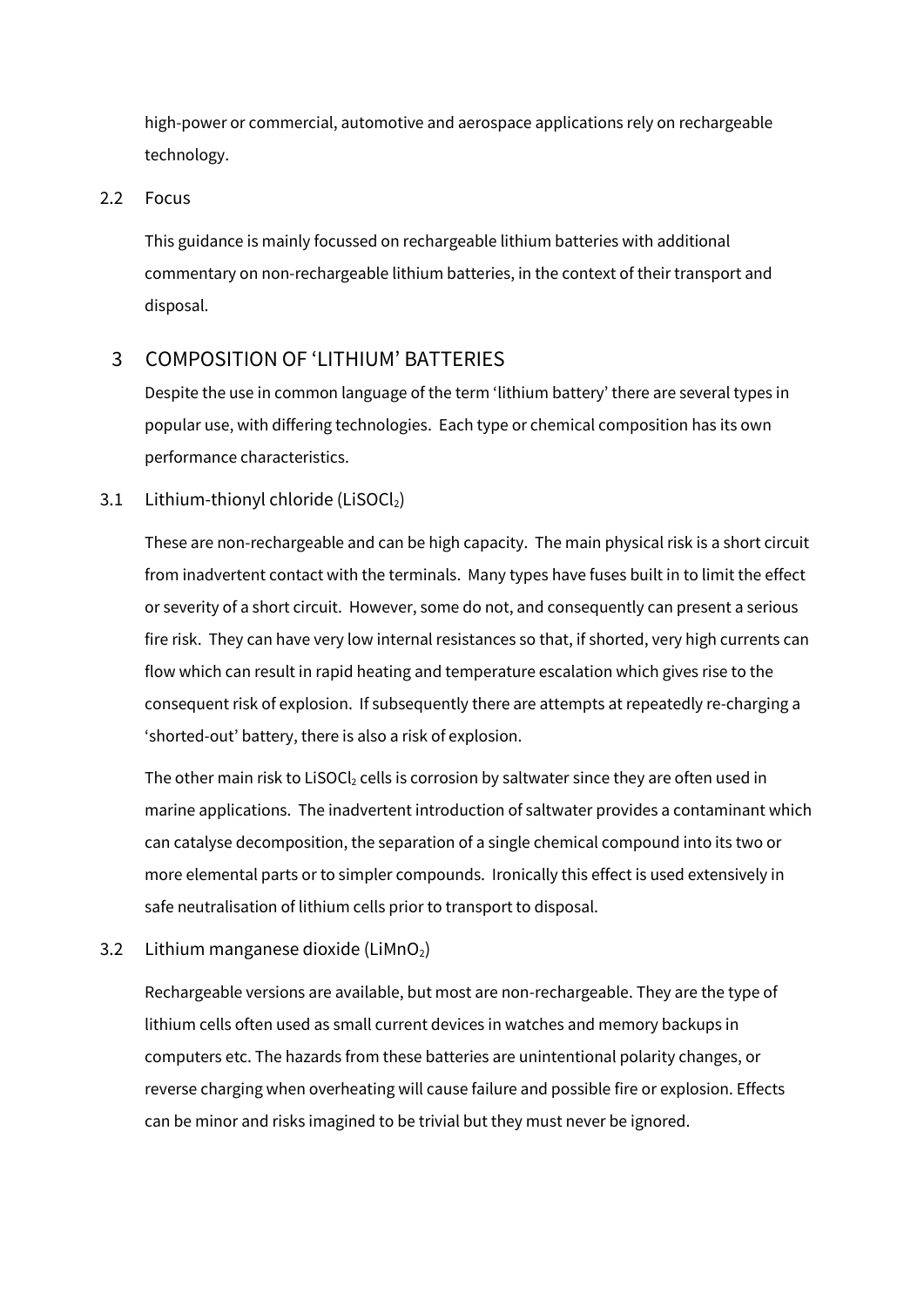high-power or commercial, automotive and aerospace applications rely on rechargeable technology.

# 2.2 Focus

This guidance is mainly focussed on rechargeable lithium batteries with additional commentary on non-rechargeable lithium batteries, in the context of their transport and disposal.

# 3 COMPOSITION OF 'LITHIUM' BATTERIES

Despite the use in common language of the term 'lithium battery' there are several types in popular use, with differing technologies. Each type or chemical composition has its own performance characteristics.

# 3.1 Lithium-thionyl chloride (LiSOCl2)

These are non-rechargeable and can be high capacity. The main physical risk is a short circuit from inadvertent contact with the terminals. Many types have fuses built in to limit the effect or severity of a short circuit. However, some do not, and consequently can present a serious fire risk. They can have very low internal resistances so that, if shorted, very high currents can flow which can result in rapid heating and temperature escalation which gives rise to the consequent risk of explosion. If subsequently there are attempts at repeatedly re-charging a 'shorted-out' battery, there is also a risk of explosion.

The other main risk to LiSOC $l_2$  cells is corrosion by saltwater since they are often used in marine applications. The inadvertent introduction of saltwater provides a contaminant which can catalyse decomposition, the separation of a single chemical compound into its two or more elemental parts or to simpler compounds. Ironically this effect is used extensively in safe neutralisation of lithium cells prior to transport to disposal.

3.2 Lithium manganese dioxide (LiMnO<sub>2</sub>)

Rechargeable versions are available, but most are non-rechargeable. They are the type of lithium cells often used as small current devices in watches and memory backups in computers etc. The hazards from these batteries are unintentional polarity changes, or reverse charging when overheating will cause failure and possible fire or explosion. Effects can be minor and risks imagined to be trivial but they must never be ignored.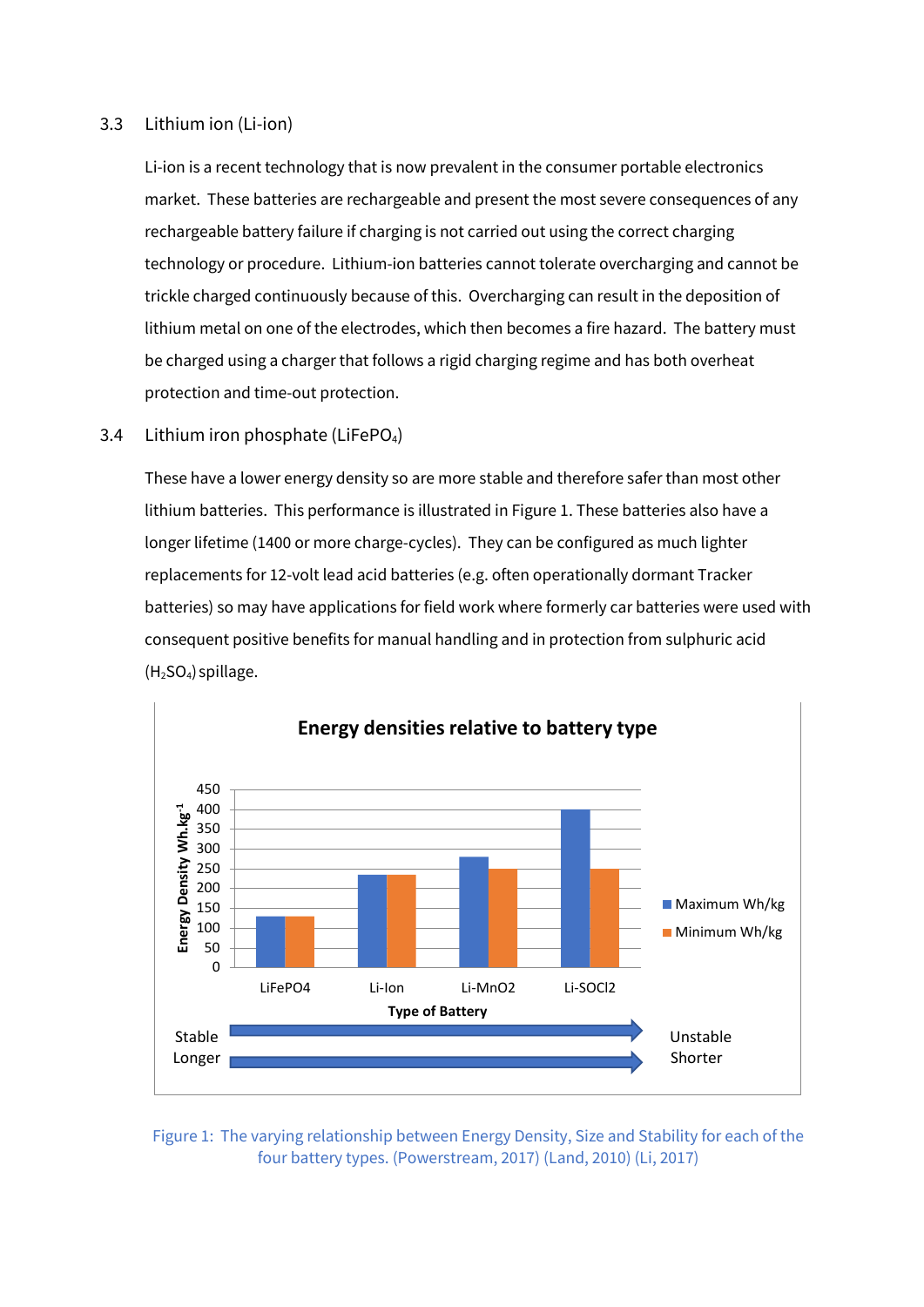# 3.3 Lithium ion (Li-ion)

Li-ion is a recent technology that is now prevalent in the consumer portable electronics market. These batteries are rechargeable and present the most severe consequences of any rechargeable battery failure if charging is not carried out using the correct charging technology or procedure. Lithium-ion batteries cannot tolerate overcharging and cannot be trickle charged continuously because of this. Overcharging can result in the deposition of lithium metal on one of the electrodes, which then becomes a fire hazard. The battery must be charged using a charger that follows a rigid charging regime and has both overheat protection and time-out protection.

# 3.4 Lithium iron phosphate (LiFePO<sub>4</sub>)

These have a lower energy density so are more stable and therefore safer than most other lithium batteries. This performance is illustrated i[n Figure 1.](#page-3-0) These batteries also have a longer lifetime (1400 or more charge-cycles). They can be configured as much lighter replacements for 12-volt lead acid batteries (e.g. often operationally dormant Tracker batteries) so may have applications for field work where formerly car batteries were used with consequent positive benefits for manual handling and in protection from sulphuric acid  $(H<sub>2</sub>SO<sub>4</sub>)$  spillage.



# <span id="page-3-0"></span>Figure 1: The varying relationship between Energy Density, Size and Stability for each of the four battery types. (Powerstream, 2017) (Land, 2010) (Li, 2017)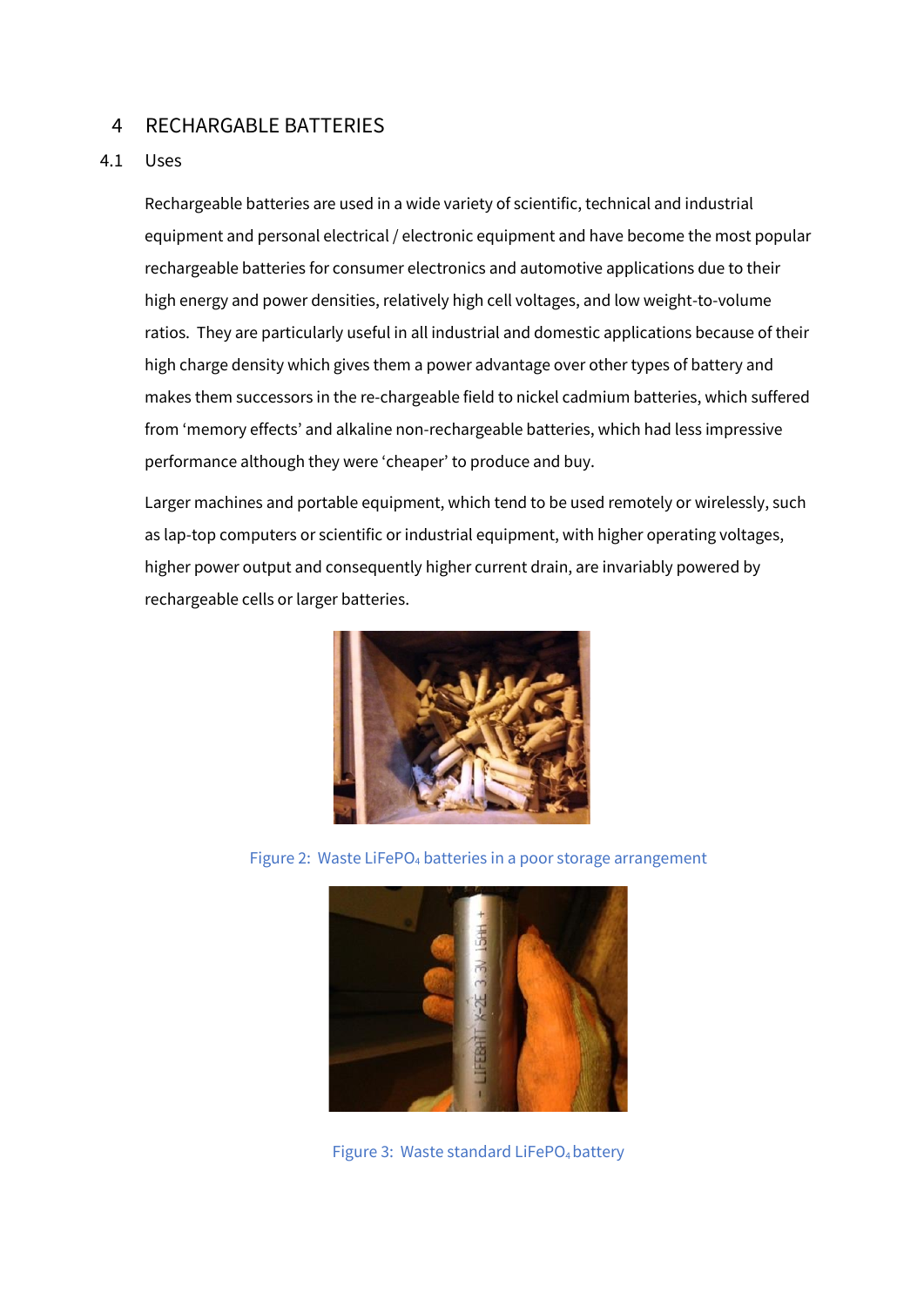# 4 RECHARGABLE BATTERIES

# 4.1 Uses

Rechargeable batteries are used in a wide variety of scientific, technical and industrial equipment and personal electrical / electronic equipment and have become the most popular rechargeable batteries for consumer electronics and automotive applications due to their high energy and power densities, relatively high cell voltages, and low weight-to-volume ratios. They are particularly useful in all industrial and domestic applications because of their high charge density which gives them a power advantage over other types of battery and makes them successors in the re-chargeable field to nickel cadmium batteries, which suffered from 'memory effects' and alkaline non-rechargeable batteries, which had less impressive performance although they were 'cheaper' to produce and buy.

Larger machines and portable equipment, which tend to be used remotely or wirelessly, such as lap-top computers or scientific or industrial equipment, with higher operating voltages, higher power output and consequently higher current drain, are invariably powered by rechargeable cells or larger batteries.



Figure 2: Waste LiFePO<sub>4</sub> batteries in a poor storage arrangement



Figure 3: Waste standard LiFePO<sub>4</sub> battery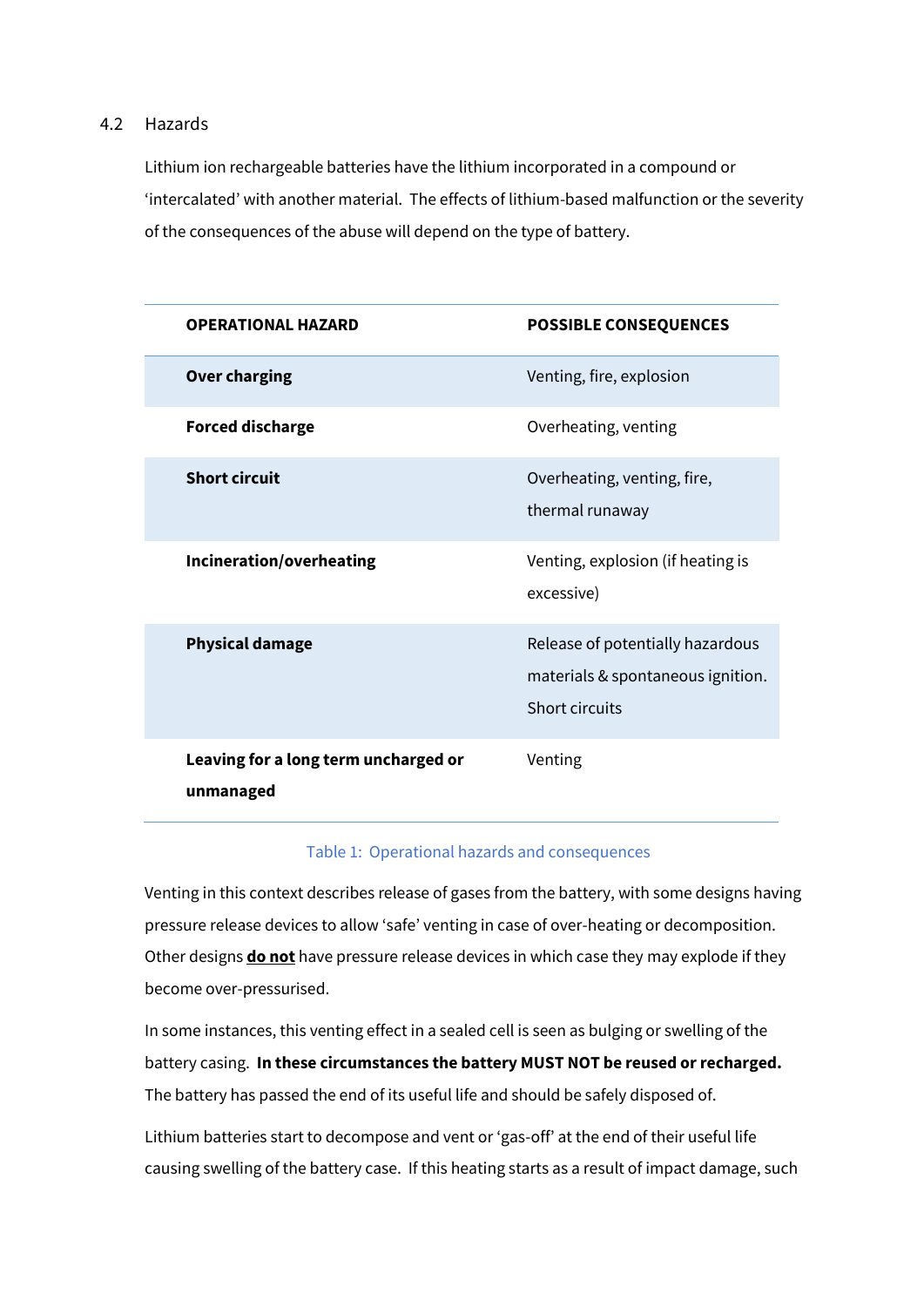# 4.2 Hazards

Lithium ion rechargeable batteries have the lithium incorporated in a compound or 'intercalated' with another material. The effects of lithium-based malfunction or the severity of the consequences of the abuse will depend on the type of battery.

| <b>OPERATIONAL HAZARD</b>                         | <b>POSSIBLE CONSEQUENCES</b>                                                            |
|---------------------------------------------------|-----------------------------------------------------------------------------------------|
| <b>Over charging</b>                              | Venting, fire, explosion                                                                |
| <b>Forced discharge</b>                           | Overheating, venting                                                                    |
| <b>Short circuit</b>                              | Overheating, venting, fire,<br>thermal runaway                                          |
| <b>Incineration/overheating</b>                   | Venting, explosion (if heating is<br>excessive)                                         |
| <b>Physical damage</b>                            | Release of potentially hazardous<br>materials & spontaneous ignition.<br>Short circuits |
| Leaving for a long term uncharged or<br>unmanaged | Venting                                                                                 |

#### Table 1: Operational hazards and consequences

Venting in this context describes release of gases from the battery, with some designs having pressure release devices to allow 'safe' venting in case of over-heating or decomposition. Other designs **do not** have pressure release devices in which case they may explode if they become over-pressurised.

In some instances, this venting effect in a sealed cell is seen as bulging or swelling of the battery casing. **In these circumstances the battery MUST NOT be reused or recharged.**  The battery has passed the end of its useful life and should be safely disposed of.

Lithium batteries start to decompose and vent or 'gas-off' at the end of their useful life causing swelling of the battery case. If this heating starts as a result of impact damage, such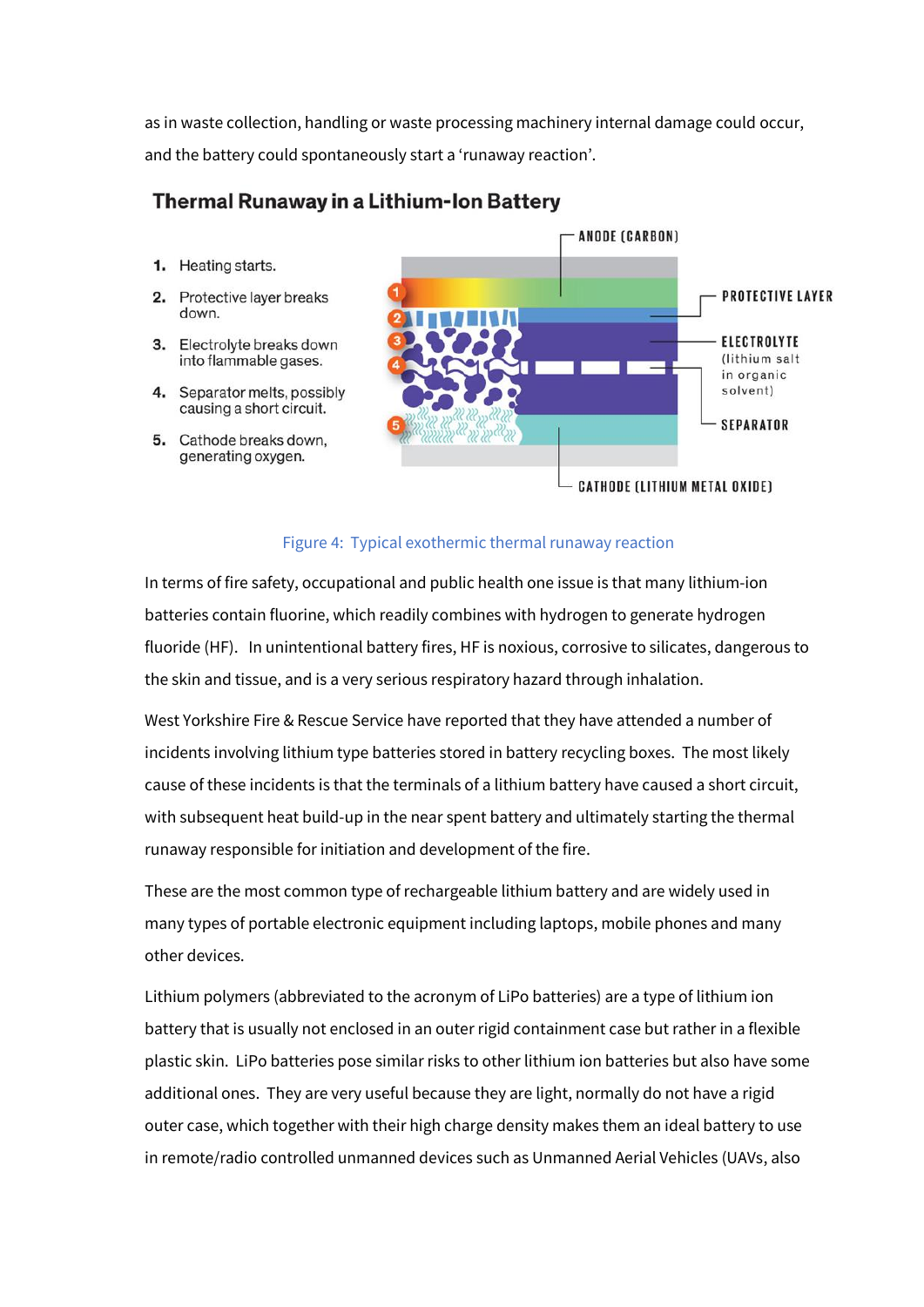as in waste collection, handling or waste processing machinery internal damage could occur, and the battery could spontaneously start a 'runaway reaction'.

# **Thermal Runaway in a Lithium-Ion Battery**

- 1. Heating starts.
- 2. Protective layer breaks down.
- 3. Electrolyte breaks down into flammable gases.
- 4. Separator melts, possibly causing a short circuit.
- 5. Cathode breaks down. generating oxygen.



#### Figure 4: Typical exothermic thermal runaway reaction

In terms of fire safety, occupational and public health one issue is that many lithium-ion batteries contain fluorine, which readily combines with hydrogen to generate hydrogen fluoride (HF). In unintentional battery fires, HF is noxious, corrosive to silicates, dangerous to the skin and tissue, and is a very serious respiratory hazard through inhalation.

West Yorkshire Fire & Rescue Service have reported that they have attended a number of incidents involving lithium type batteries stored in battery recycling boxes. The most likely cause of these incidents is that the terminals of a lithium battery have caused a short circuit, with subsequent heat build-up in the near spent battery and ultimately starting the thermal runaway responsible for initiation and development of the fire.

These are the most common type of rechargeable lithium battery and are widely used in many types of portable electronic equipment including laptops, mobile phones and many other devices.

Lithium polymers (abbreviated to the acronym of LiPo batteries) are a type of lithium ion battery that is usually not enclosed in an outer rigid containment case but rather in a flexible plastic skin. LiPo batteries pose similar risks to other lithium ion batteries but also have some additional ones. They are very useful because they are light, normally do not have a rigid outer case, which together with their high charge density makes them an ideal battery to use in remote/radio controlled unmanned devices such as Unmanned Aerial Vehicles (UAVs, also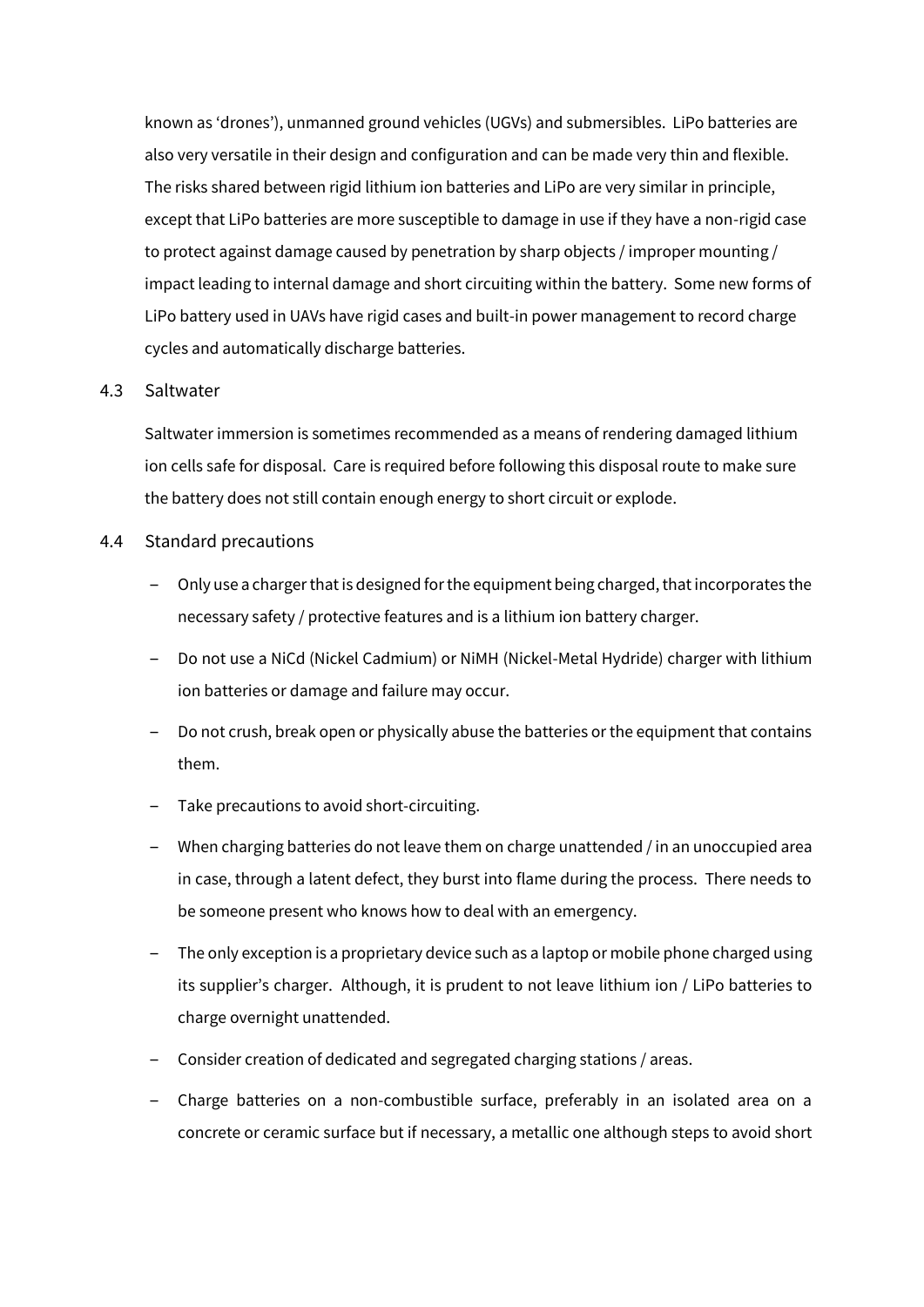known as 'drones'), unmanned ground vehicles (UGVs) and submersibles. LiPo batteries are also very versatile in their design and configuration and can be made very thin and flexible. The risks shared between rigid lithium ion batteries and LiPo are very similar in principle, except that LiPo batteries are more susceptible to damage in use if they have a non-rigid case to protect against damage caused by penetration by sharp objects / improper mounting / impact leading to internal damage and short circuiting within the battery. Some new forms of LiPo battery used in UAVs have rigid cases and built-in power management to record charge cycles and automatically discharge batteries.

#### 4.3 Saltwater

Saltwater immersion is sometimes recommended as a means of rendering damaged lithium ion cells safe for disposal. Care is required before following this disposal route to make sure the battery does not still contain enough energy to short circuit or explode.

#### 4.4 Standard precautions

- ‒ Only use a charger that is designed for the equipment being charged, that incorporates the necessary safety / protective features and is a lithium ion battery charger.
- ‒ Do not use a NiCd (Nickel Cadmium) or NiMH (Nickel-Metal Hydride) charger with lithium ion batteries or damage and failure may occur.
- ‒ Do not crush, break open or physically abuse the batteries or the equipment that contains them.
- ‒ Take precautions to avoid short-circuiting.
- ‒ When charging batteries do not leave them on charge unattended / in an unoccupied area in case, through a latent defect, they burst into flame during the process. There needs to be someone present who knows how to deal with an emergency.
- ‒ The only exception is a proprietary device such as a laptop or mobile phone charged using its supplier's charger. Although, it is prudent to not leave lithium ion / LiPo batteries to charge overnight unattended.
- ‒ Consider creation of dedicated and segregated charging stations / areas.
- Charge batteries on a non-combustible surface, preferably in an isolated area on a concrete or ceramic surface but if necessary, a metallic one although steps to avoid short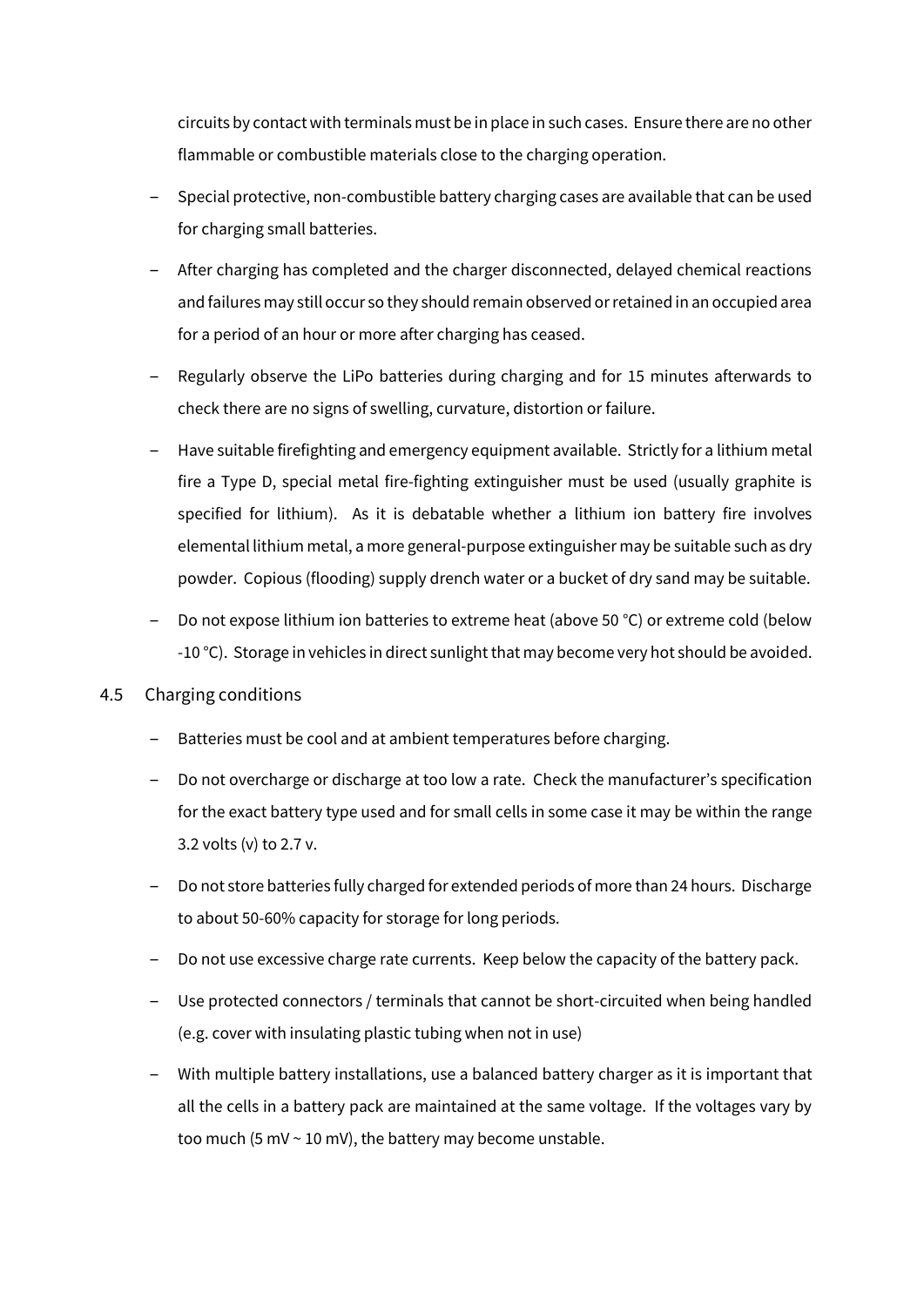circuits by contact with terminals must be in place in such cases. Ensure there are no other flammable or combustible materials close to the charging operation.

- ‒ Special protective, non-combustible battery charging cases are available that can be used for charging small batteries.
- ‒ After charging has completed and the charger disconnected, delayed chemical reactions and failures may still occur so they should remain observed or retained in an occupied area for a period of an hour or more after charging has ceased.
- ‒ Regularly observe the LiPo batteries during charging and for 15 minutes afterwards to check there are no signs of swelling, curvature, distortion or failure.
- Have suitable firefighting and emergency equipment available. Strictly for a lithium metal fire a Type D, special metal fire-fighting extinguisher must be used (usually graphite is specified for lithium). As it is debatable whether a lithium ion battery fire involves elemental lithium metal, a more general-purpose extinguisher may be suitable such as dry powder. Copious (flooding) supply drench water or a bucket of dry sand may be suitable.
- Do not expose lithium ion batteries to extreme heat (above 50 °C) or extreme cold (below -10 °C). Storage in vehicles in direct sunlight that may become very hot should be avoided.

# 4.5 Charging conditions

- Batteries must be cool and at ambient temperatures before charging.
- ‒ Do not overcharge or discharge at too low a rate. Check the manufacturer's specification for the exact battery type used and for small cells in some case it may be within the range 3.2 volts (v) to 2.7 v.
- ‒ Do not store batteries fully charged for extended periods of more than 24 hours. Discharge to about 50-60% capacity for storage for long periods.
- Do not use excessive charge rate currents. Keep below the capacity of the battery pack.
- ‒ Use protected connectors / terminals that cannot be short-circuited when being handled (e.g. cover with insulating plastic tubing when not in use)
- ‒ With multiple battery installations, use a balanced battery charger as it is important that all the cells in a battery pack are maintained at the same voltage. If the voltages vary by too much (5 mV  $\sim$  10 mV), the battery may become unstable.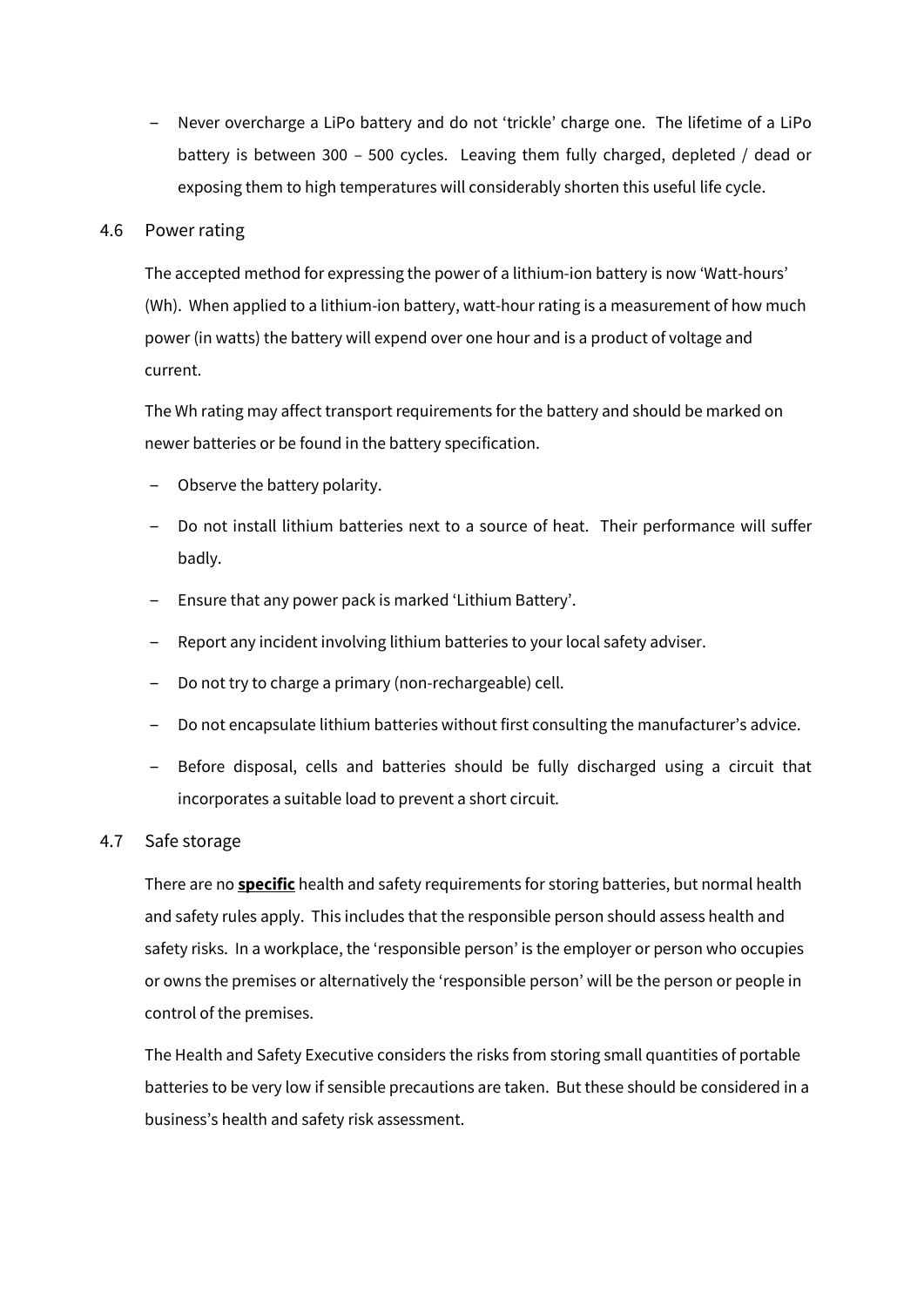‒ Never overcharge a LiPo battery and do not 'trickle' charge one. The lifetime of a LiPo battery is between 300 – 500 cycles. Leaving them fully charged, depleted / dead or exposing them to high temperatures will considerably shorten this useful life cycle.

#### 4.6 Power rating

The accepted method for expressing the power of a lithium-ion battery is now 'Watt-hours' (Wh). When applied to a lithium-ion battery, watt-hour rating is a measurement of how much power (in watts) the battery will expend over one hour and is a product of voltage and current.

The Wh rating may affect transport requirements for the battery and should be marked on newer batteries or be found in the battery specification.

- Observe the battery polarity.
- ‒ Do not install lithium batteries next to a source of heat. Their performance will suffer badly.
- ‒ Ensure that any power pack is marked 'Lithium Battery'.
- ‒ Report any incident involving lithium batteries to your local safety adviser.
- ‒ Do not try to charge a primary (non-rechargeable) cell.
- ‒ Do not encapsulate lithium batteries without first consulting the manufacturer's advice.
- ‒ Before disposal, cells and batteries should be fully discharged using a circuit that incorporates a suitable load to prevent a short circuit.

# 4.7 Safe storage

There are no **specific** health and safety requirements for storing batteries, but normal health and safety rules apply. This includes that the responsible person should assess health and safety risks. In a workplace, the 'responsible person' is the employer or person who occupies or owns the premises or alternatively the 'responsible person' will be the person or people in control of the premises.

The Health and Safety Executive considers the risks from storing small quantities of portable batteries to be very low if sensible precautions are taken. But these should be considered in a business's health and safety risk assessment.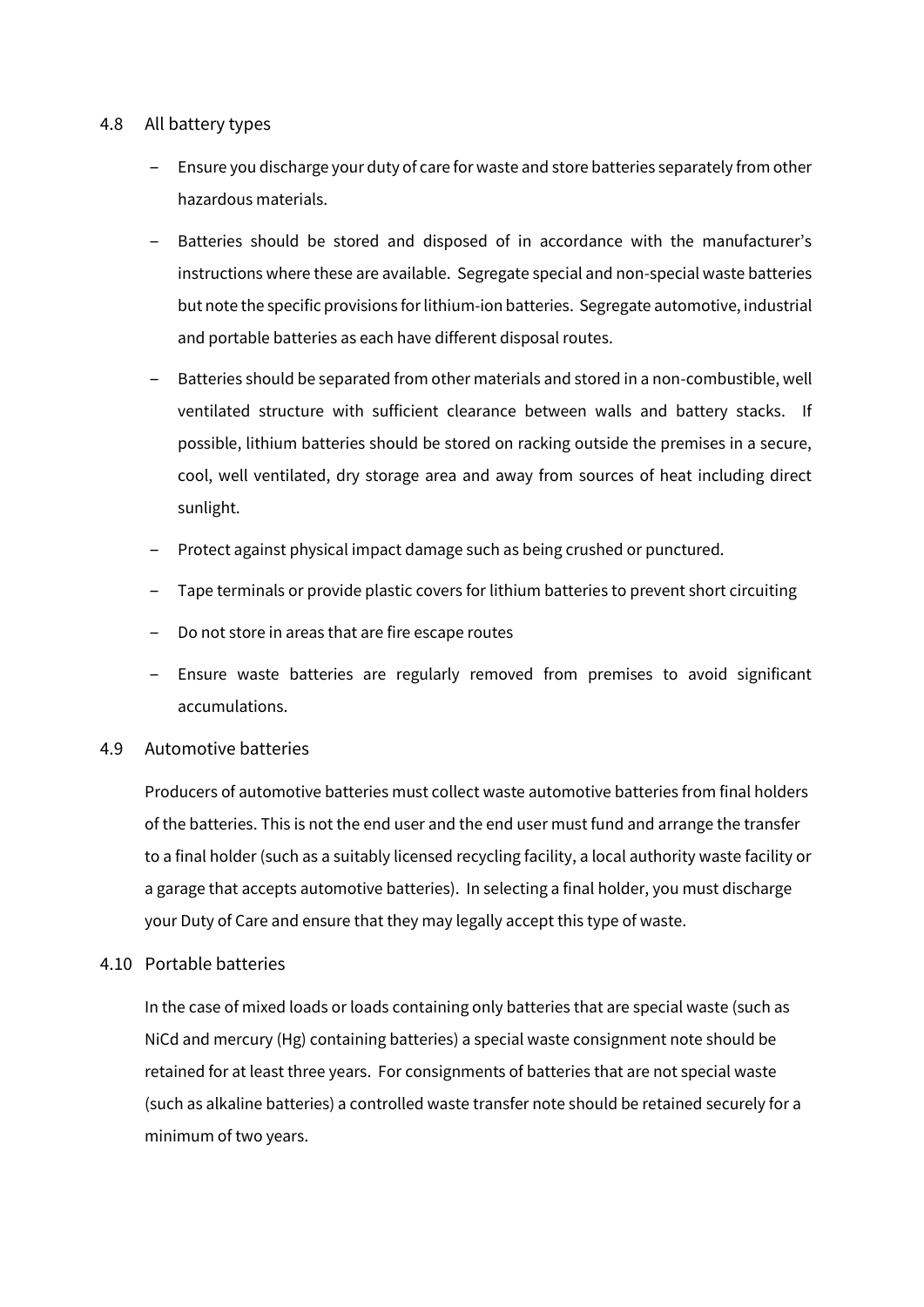# 4.8 All battery types

- ‒ Ensure you discharge your duty of care for waste and store batteries separately from other hazardous materials.
- Batteries should be stored and disposed of in accordance with the manufacturer's instructions where these are available. Segregate special and non-special waste batteries but note the specific provisions for lithium-ion batteries. Segregate automotive, industrial and portable batteries as each have different disposal routes.
- ‒ Batteries should be separated from other materials and stored in a non-combustible, well ventilated structure with sufficient clearance between walls and battery stacks. If possible, lithium batteries should be stored on racking outside the premises in a secure, cool, well ventilated, dry storage area and away from sources of heat including direct sunlight.
- ‒ Protect against physical impact damage such as being crushed or punctured.
- ‒ Tape terminals or provide plastic covers for lithium batteries to prevent short circuiting
- ‒ Do not store in areas that are fire escape routes
- ‒ Ensure waste batteries are regularly removed from premises to avoid significant accumulations.

# 4.9 Automotive batteries

Producers of automotive batteries must collect waste automotive batteries from final holders of the batteries. This is not the end user and the end user must fund and arrange the transfer to a final holder (such as a suitably licensed recycling facility, a local authority waste facility or a garage that accepts automotive batteries). In selecting a final holder, you must discharge your Duty of Care and ensure that they may legally accept this type of waste.

# 4.10 Portable batteries

In the case of mixed loads or loads containing only batteries that are special waste (such as NiCd and mercury (Hg) containing batteries) a special waste consignment note should be retained for at least three years. For consignments of batteries that are not special waste (such as alkaline batteries) a controlled waste transfer note should be retained securely for a minimum of two years.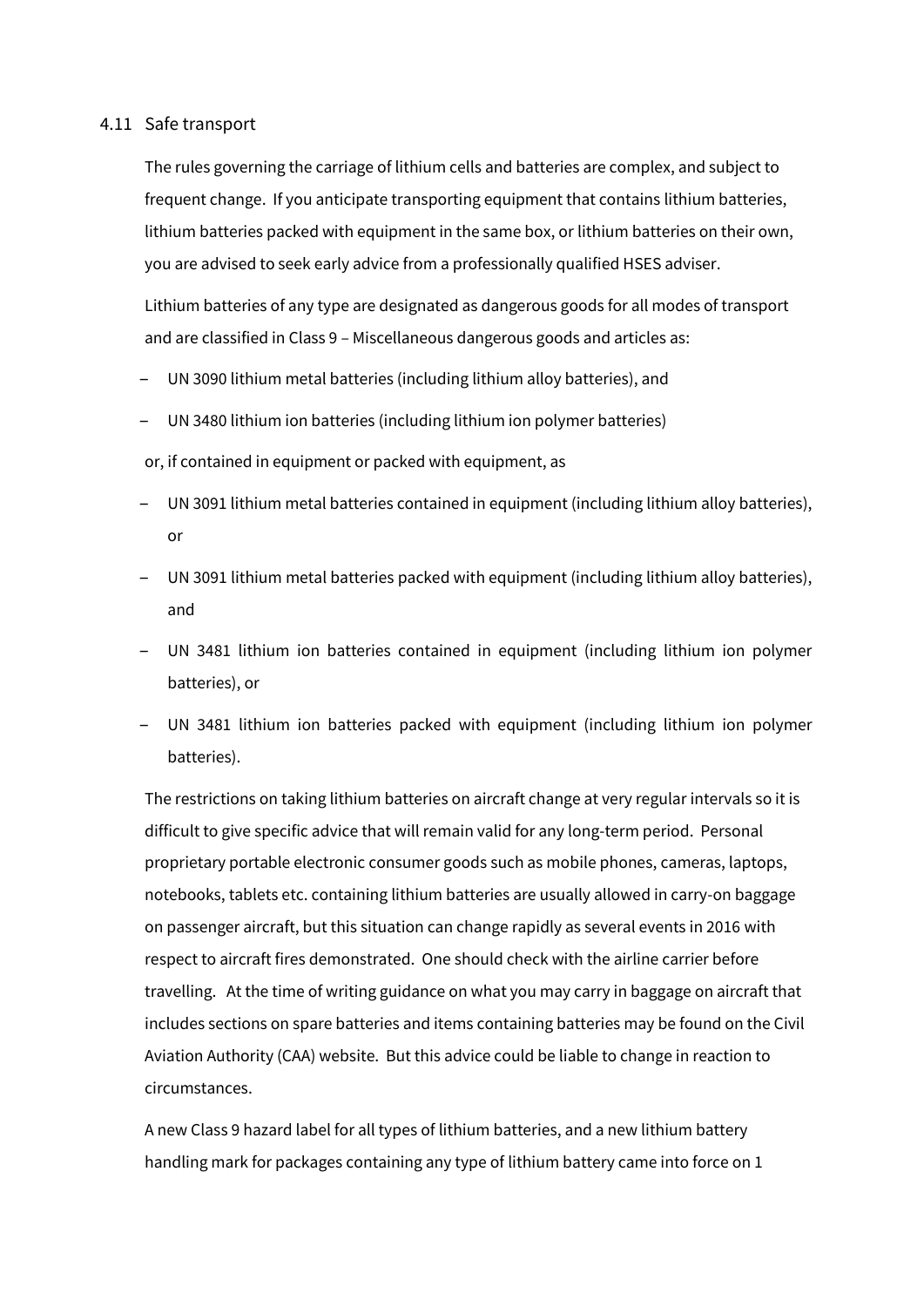#### 4.11 Safe transport

The rules governing the carriage of lithium cells and batteries are complex, and subject to frequent change. If you anticipate transporting equipment that contains lithium batteries, lithium batteries packed with equipment in the same box, or lithium batteries on their own, you are advised to seek early advice from a professionally qualified HSES adviser.

Lithium batteries of any type are designated as dangerous goods for all modes of transport and are classified in Class 9 – Miscellaneous dangerous goods and articles as:

- ‒ UN 3090 lithium metal batteries (including lithium alloy batteries), and
- ‒ UN 3480 lithium ion batteries (including lithium ion polymer batteries)

or, if contained in equipment or packed with equipment, as

- ‒ UN 3091 lithium metal batteries contained in equipment (including lithium alloy batteries), or
- ‒ UN 3091 lithium metal batteries packed with equipment (including lithium alloy batteries), and
- ‒ UN 3481 lithium ion batteries contained in equipment (including lithium ion polymer batteries), or
- ‒ UN 3481 lithium ion batteries packed with equipment (including lithium ion polymer batteries).

The restrictions on taking lithium batteries on aircraft change at very regular intervals so it is difficult to give specific advice that will remain valid for any long-term period. Personal proprietary portable electronic consumer goods such as mobile phones, cameras, laptops, notebooks, tablets etc. containing lithium batteries are usually allowed in carry-on baggage on passenger aircraft, but this situation can change rapidly as several events in 2016 with respect to aircraft fires demonstrated. One should check with the airline carrier before travelling. At the time of writing guidance on what you may carry in baggage on aircraft that includes sections on spare batteries and items containing batteries may be found on the Civil Aviation Authority (CAA) website. But this advice could be liable to change in reaction to circumstances.

A new Class 9 hazard label for all types of lithium batteries, and a new lithium battery handling mark for packages containing any type of lithium battery came into force on 1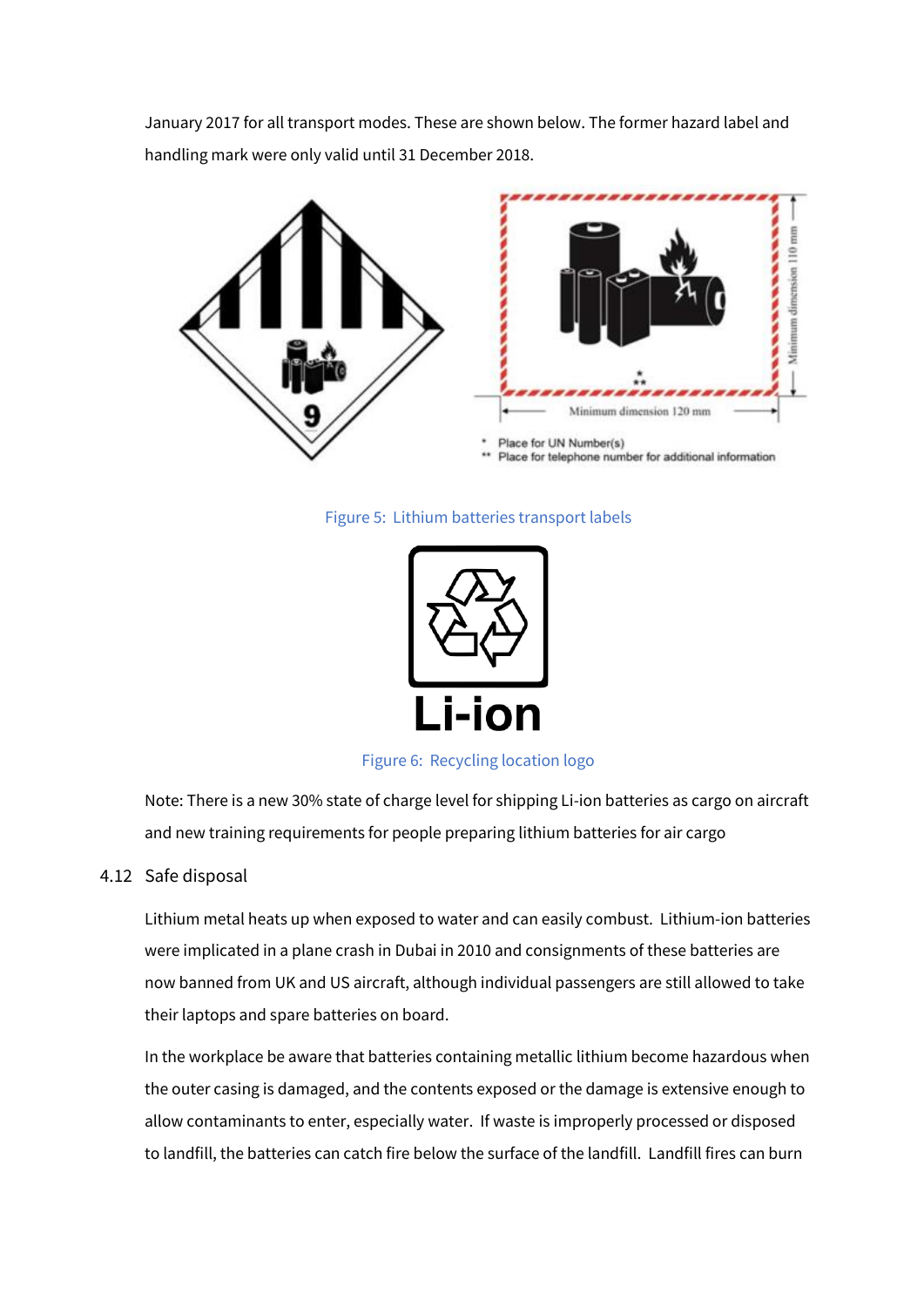January 2017 for all transport modes. These are shown below. The former hazard label and handling mark were only valid until 31 December 2018.



#### Figure 5: Lithium batteries transport labels



Figure 6: Recycling location logo

Note: There is a new 30% state of charge level for shipping Li-ion batteries as cargo on aircraft and new training requirements for people preparing lithium batteries for air cargo

# 4.12 Safe disposal

Lithium metal heats up when exposed to water and can easily combust. Lithium-ion batteries were implicated in a plane crash in Dubai in 2010 and consignments of these batteries are now banned from UK and US aircraft, although individual passengers are still allowed to take their laptops and spare batteries on board.

In the workplace be aware that batteries containing metallic lithium become hazardous when the outer casing is damaged, and the contents exposed or the damage is extensive enough to allow contaminants to enter, especially water. If waste is improperly processed or disposed to landfill, the batteries can catch fire below the surface of the landfill. Landfill fires can burn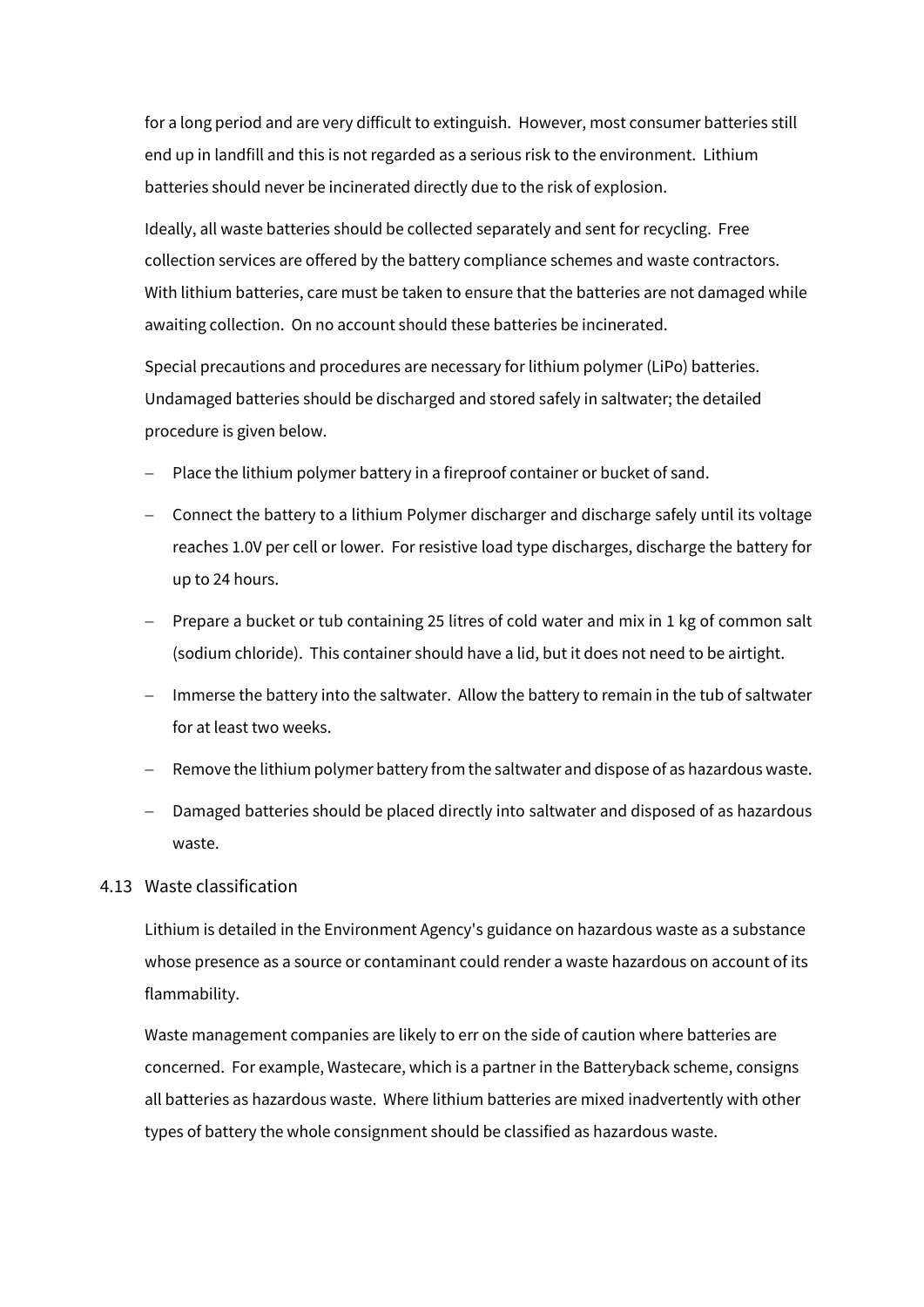for a long period and are very difficult to extinguish. However, most consumer batteries still end up in landfill and this is not regarded as a serious risk to the environment. Lithium batteries should never be incinerated directly due to the risk of explosion.

Ideally, all waste batteries should be collected separately and sent for recycling. Free collection services are offered by the battery compliance schemes and waste contractors. With lithium batteries, care must be taken to ensure that the batteries are not damaged while awaiting collection. On no account should these batteries be incinerated.

Special precautions and procedures are necessary for lithium polymer (LiPo) batteries. Undamaged batteries should be discharged and stored safely in saltwater; the detailed procedure is given below.

- Place the lithium polymer battery in a fireproof container or bucket of sand.
- Connect the battery to a lithium Polymer discharger and discharge safely until its voltage reaches 1.0V per cell or lower. For resistive load type discharges, discharge the battery for up to 24 hours.
- Prepare a bucket or tub containing 25 litres of cold water and mix in 1 kg of common salt (sodium chloride). This container should have a lid, but it does not need to be airtight.
- Immerse the battery into the saltwater. Allow the battery to remain in the tub of saltwater for at least two weeks.
- − Remove the lithium polymer battery from the saltwater and dispose of as hazardous waste.
- − Damaged batteries should be placed directly into saltwater and disposed of as hazardous waste.

# 4.13 Waste classification

Lithium is detailed in the Environment Agency's guidance on hazardous waste as a substance whose presence as a source or contaminant could render a waste hazardous on account of its flammability.

Waste management companies are likely to err on the side of caution where batteries are concerned. For example, Wastecare, which is a partner in the Batteryback scheme, consigns all batteries as hazardous waste. Where lithium batteries are mixed inadvertently with other types of battery the whole consignment should be classified as hazardous waste.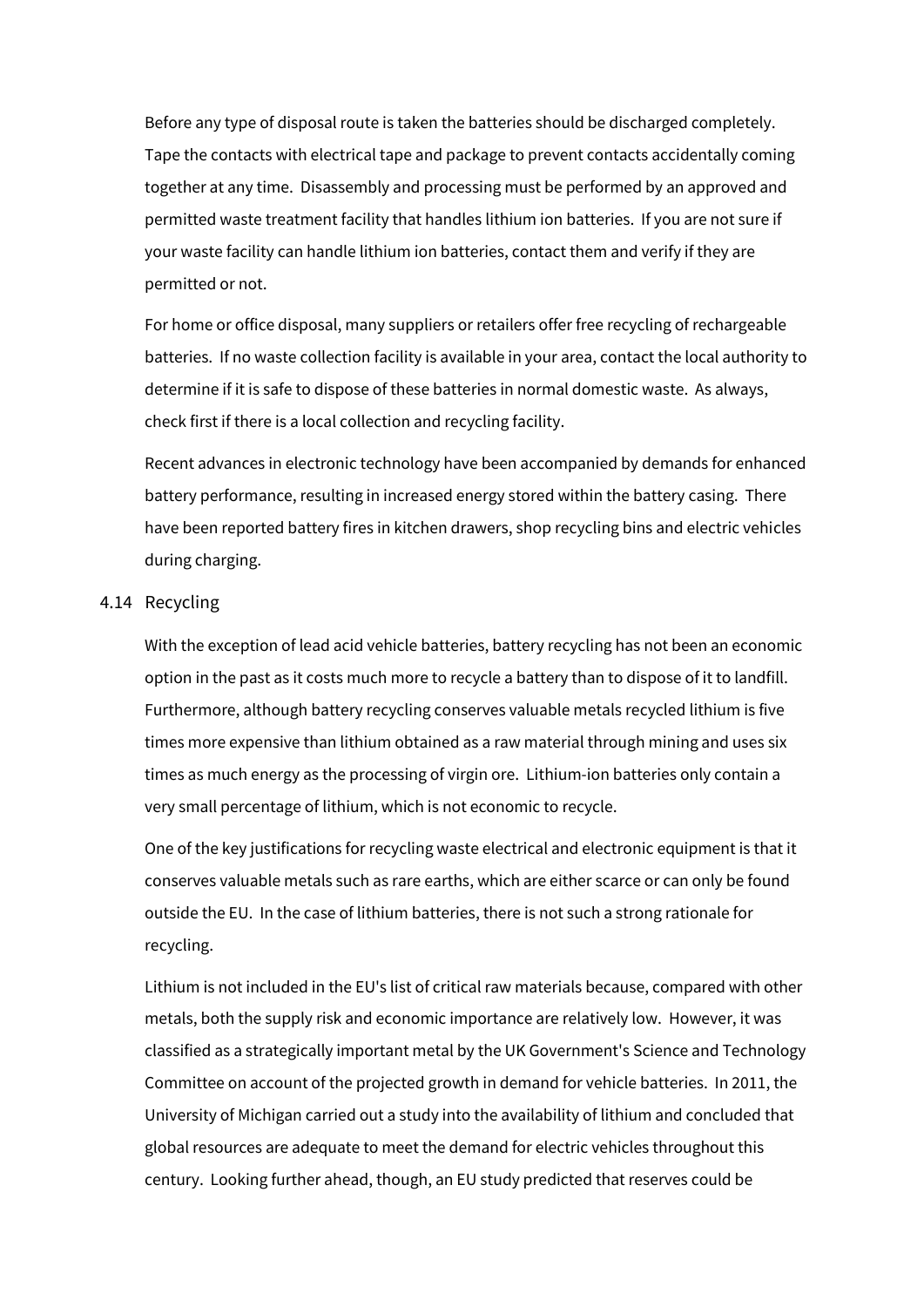Before any type of disposal route is taken the batteries should be discharged completely. Tape the contacts with electrical tape and package to prevent contacts accidentally coming together at any time. Disassembly and processing must be performed by an approved and permitted waste treatment facility that handles lithium ion batteries. If you are not sure if your waste facility can handle lithium ion batteries, contact them and verify if they are permitted or not.

For home or office disposal, many suppliers or retailers offer free recycling of rechargeable batteries. If no waste collection facility is available in your area, contact the local authority to determine if it is safe to dispose of these batteries in normal domestic waste. As always, check first if there is a local collection and recycling facility.

Recent advances in electronic technology have been accompanied by demands for enhanced battery performance, resulting in increased energy stored within the battery casing. There have been reported battery fires in kitchen drawers, shop recycling bins and electric vehicles during charging.

# 4.14 Recycling

With the exception of lead acid vehicle batteries, battery recycling has not been an economic option in the past as it costs much more to recycle a battery than to dispose of it to landfill. Furthermore, although battery recycling conserves valuable metals recycled lithium is five times more expensive than lithium obtained as a raw material through mining and uses six times as much energy as the processing of virgin ore. Lithium-ion batteries only contain a very small percentage of lithium, which is not economic to recycle.

One of the key justifications for recycling waste electrical and electronic equipment is that it conserves valuable metals such as rare earths, which are either scarce or can only be found outside the EU. In the case of lithium batteries, there is not such a strong rationale for recycling.

Lithium is not included in the EU's list of critical raw materials because, compared with other metals, both the supply risk and economic importance are relatively low. However, it was classified as a strategically important metal by the UK Government's Science and Technology Committee on account of the projected growth in demand for vehicle batteries. In 2011, the University of Michigan carried out a study into the availability of lithium and concluded that global resources are adequate to meet the demand for electric vehicles throughout this century. Looking further ahead, though, an EU study predicted that reserves could be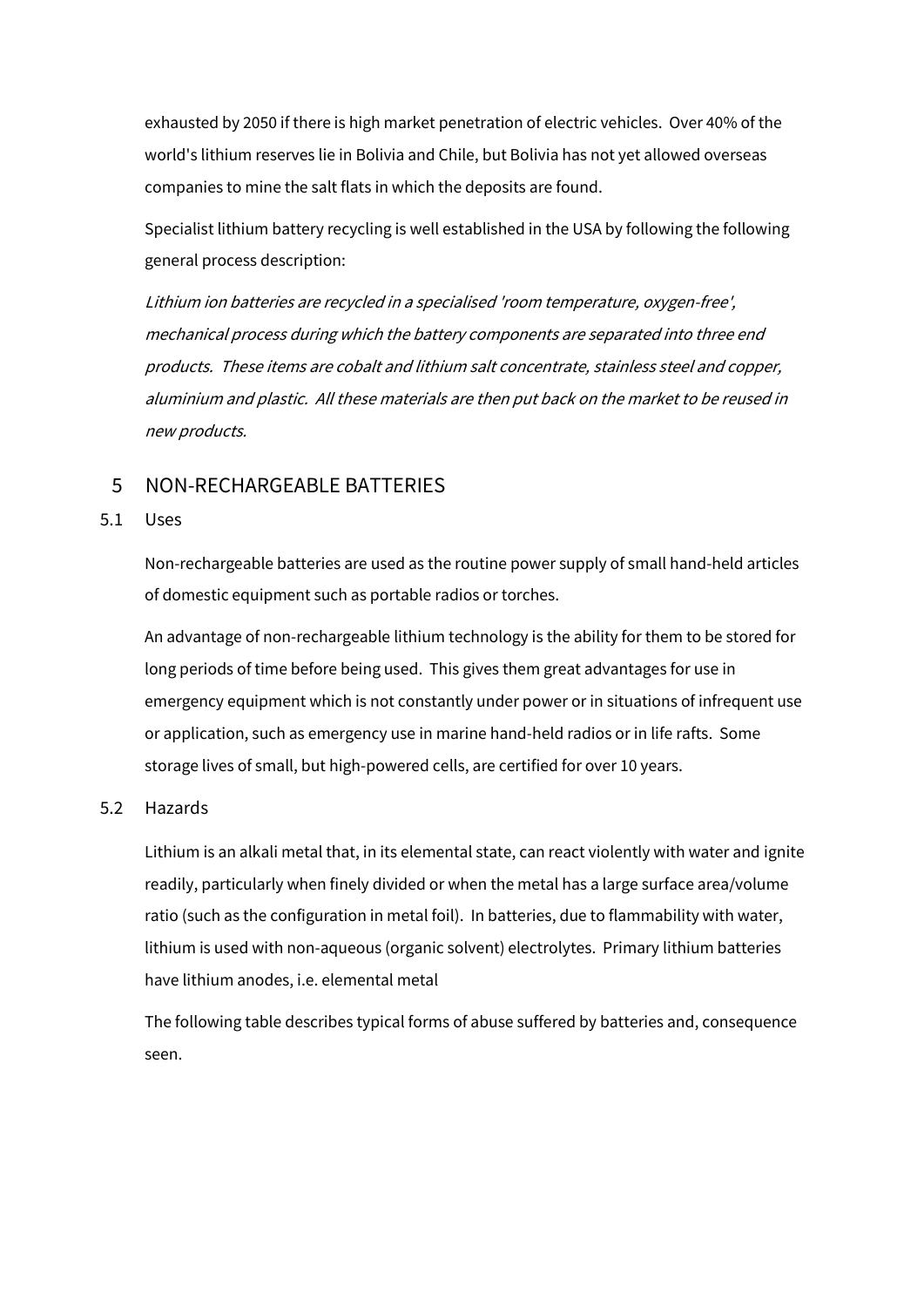exhausted by 2050 if there is high market penetration of electric vehicles. Over 40% of the world's lithium reserves lie in Bolivia and Chile, but Bolivia has not yet allowed overseas companies to mine the salt flats in which the deposits are found.

Specialist lithium battery recycling is well established in the USA by following the following general process description:

Lithium ion batteries are recycled in a specialised 'room temperature, oxygen-free', mechanical process during which the battery components are separated into three end products. These items are cobalt and lithium salt concentrate, stainless steel and copper, aluminium and plastic. All these materials are then put back on the market to be reused in new products.

# 5 NON-RECHARGEABLE BATTERIES

#### 5.1 Uses

Non-rechargeable batteries are used as the routine power supply of small hand-held articles of domestic equipment such as portable radios or torches.

An advantage of non-rechargeable lithium technology is the ability for them to be stored for long periods of time before being used. This gives them great advantages for use in emergency equipment which is not constantly under power or in situations of infrequent use or application, such as emergency use in marine hand-held radios or in life rafts. Some storage lives of small, but high-powered cells, are certified for over 10 years.

# 5.2 Hazards

Lithium is an alkali metal that, in its elemental state, can react violently with water and ignite readily, particularly when finely divided or when the metal has a large surface area/volume ratio (such as the configuration in metal foil). In batteries, due to flammability with water, lithium is used with non-aqueous (organic solvent) electrolytes. Primary lithium batteries have lithium anodes, i.e. elemental metal

The following table describes typical forms of abuse suffered by batteries and, consequence seen.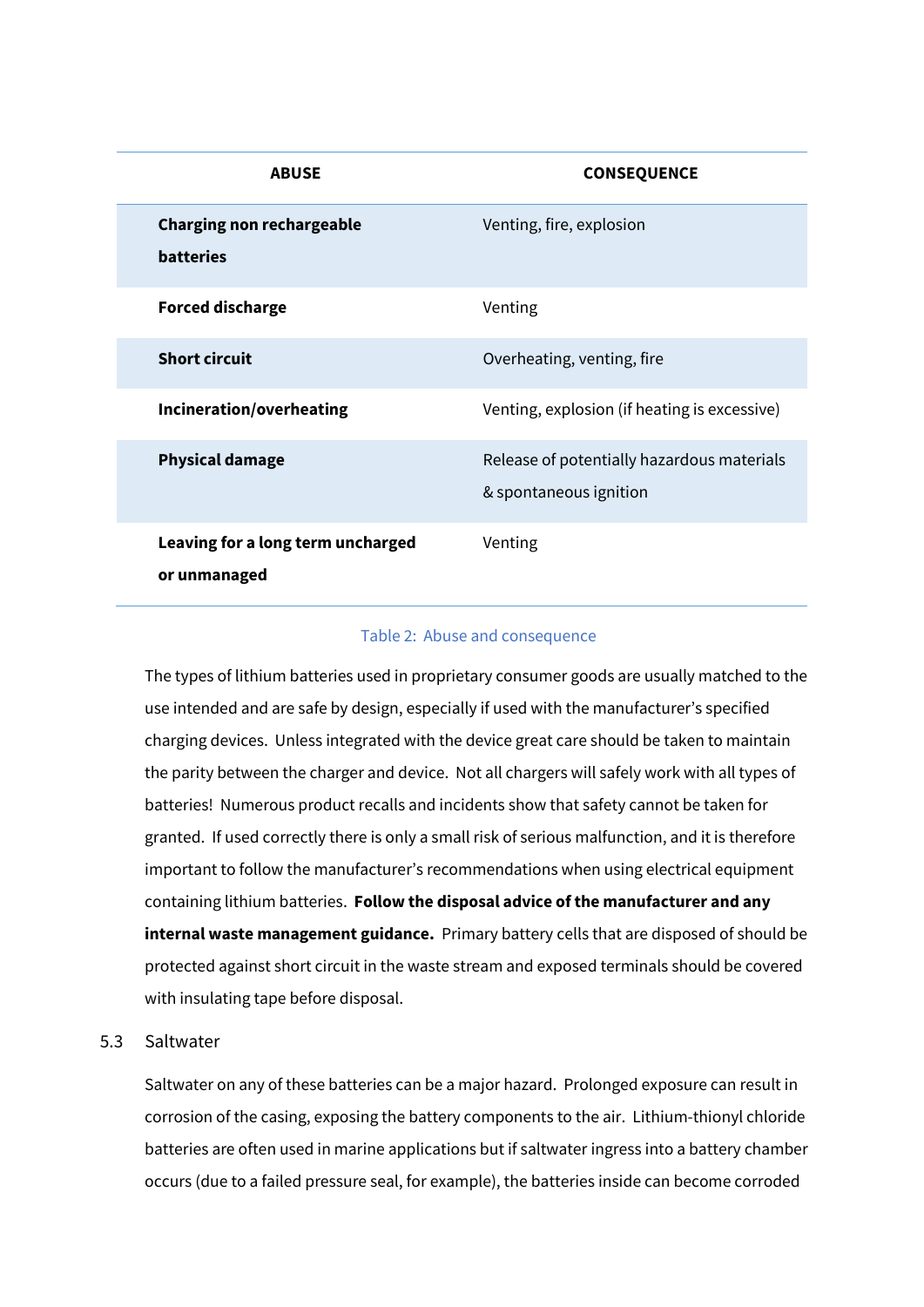| <b>ABUSE</b>                                         | <b>CONSEQUENCE</b>                                                   |
|------------------------------------------------------|----------------------------------------------------------------------|
| <b>Charging non rechargeable</b><br><b>batteries</b> | Venting, fire, explosion                                             |
| <b>Forced discharge</b>                              | Venting                                                              |
| <b>Short circuit</b>                                 | Overheating, venting, fire                                           |
| Incineration/overheating                             | Venting, explosion (if heating is excessive)                         |
| <b>Physical damage</b>                               | Release of potentially hazardous materials<br>& spontaneous ignition |
| Leaving for a long term uncharged<br>or unmanaged    | Venting                                                              |

#### Table 2: Abuse and consequence

The types of lithium batteries used in proprietary consumer goods are usually matched to the use intended and are safe by design, especially if used with the manufacturer's specified charging devices. Unless integrated with the device great care should be taken to maintain the parity between the charger and device. Not all chargers will safely work with all types of batteries! Numerous product recalls and incidents show that safety cannot be taken for granted. If used correctly there is only a small risk of serious malfunction, and it is therefore important to follow the manufacturer's recommendations when using electrical equipment containing lithium batteries. **Follow the disposal advice of the manufacturer and any internal waste management guidance.** Primary battery cells that are disposed of should be protected against short circuit in the waste stream and exposed terminals should be covered with insulating tape before disposal.

# 5.3 Saltwater

Saltwater on any of these batteries can be a major hazard. Prolonged exposure can result in corrosion of the casing, exposing the battery components to the air. Lithium-thionyl chloride batteries are often used in marine applications but if saltwater ingress into a battery chamber occurs (due to a failed pressure seal, for example), the batteries inside can become corroded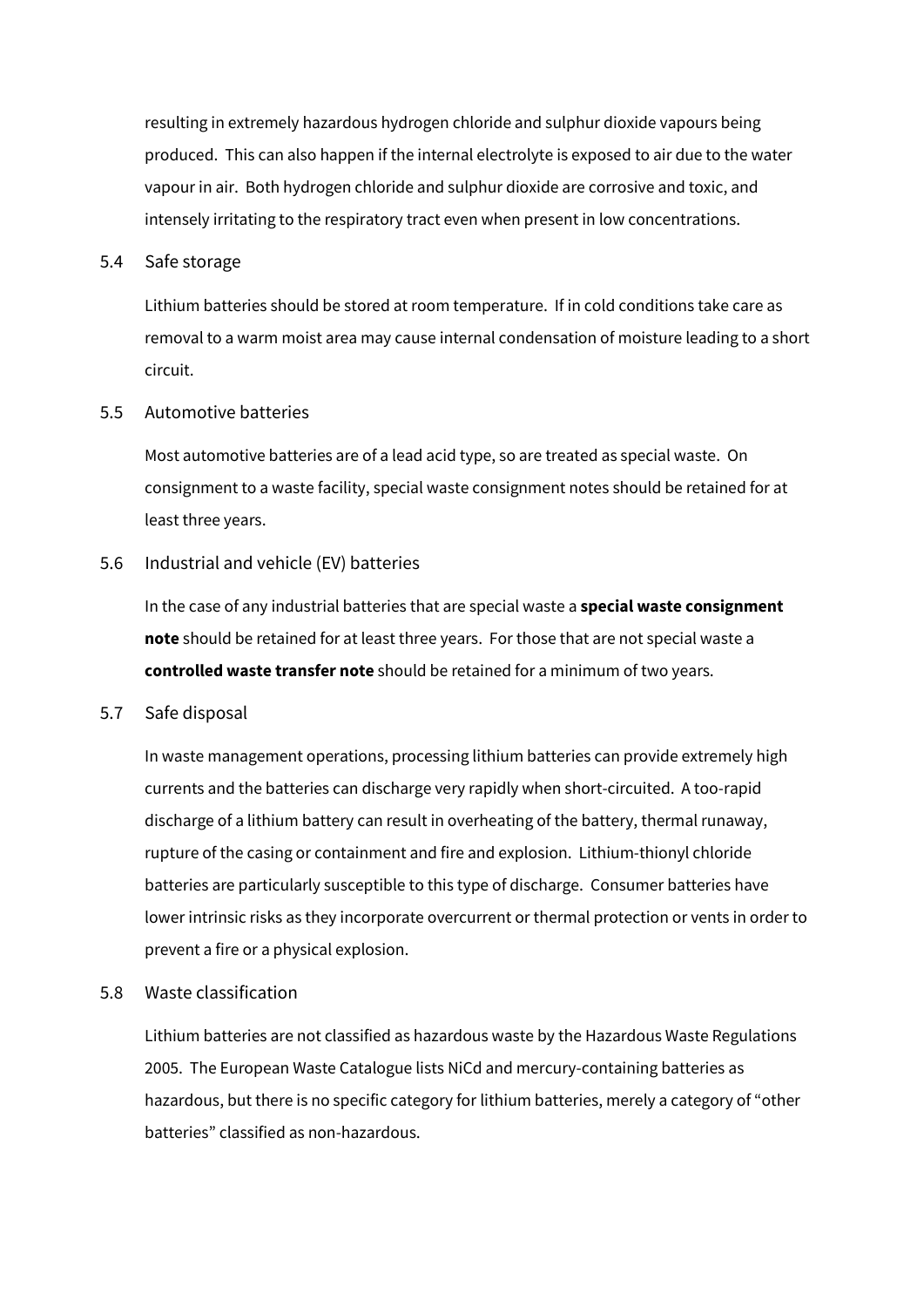resulting in extremely hazardous hydrogen chloride and sulphur dioxide vapours being produced. This can also happen if the internal electrolyte is exposed to air due to the water vapour in air. Both hydrogen chloride and sulphur dioxide are corrosive and toxic, and intensely irritating to the respiratory tract even when present in low concentrations.

#### 5.4 Safe storage

Lithium batteries should be stored at room temperature. If in cold conditions take care as removal to a warm moist area may cause internal condensation of moisture leading to a short circuit.

# 5.5 Automotive batteries

Most automotive batteries are of a lead acid type, so are treated as special waste. On consignment to a waste facility, special waste consignment notes should be retained for at least three years.

# 5.6 Industrial and vehicle (EV) batteries

In the case of any industrial batteries that are special waste a **special waste consignment note** should be retained for at least three years. For those that are not special waste a **controlled waste transfer note** should be retained for a minimum of two years.

# 5.7 Safe disposal

In waste management operations, processing lithium batteries can provide extremely high currents and the batteries can discharge very rapidly when short-circuited. A too-rapid discharge of a lithium battery can result in overheating of the battery, thermal runaway, rupture of the casing or containment and fire and explosion. Lithium-thionyl chloride batteries are particularly susceptible to this type of discharge. Consumer batteries have lower intrinsic risks as they incorporate overcurrent or thermal protection or vents in order to prevent a fire or a physical explosion.

# 5.8 Waste classification

Lithium batteries are not classified as hazardous waste by the Hazardous Waste Regulations 2005. The European Waste Catalogue lists NiCd and mercury-containing batteries as hazardous, but there is no specific category for lithium batteries, merely a category of "other batteries" classified as non-hazardous.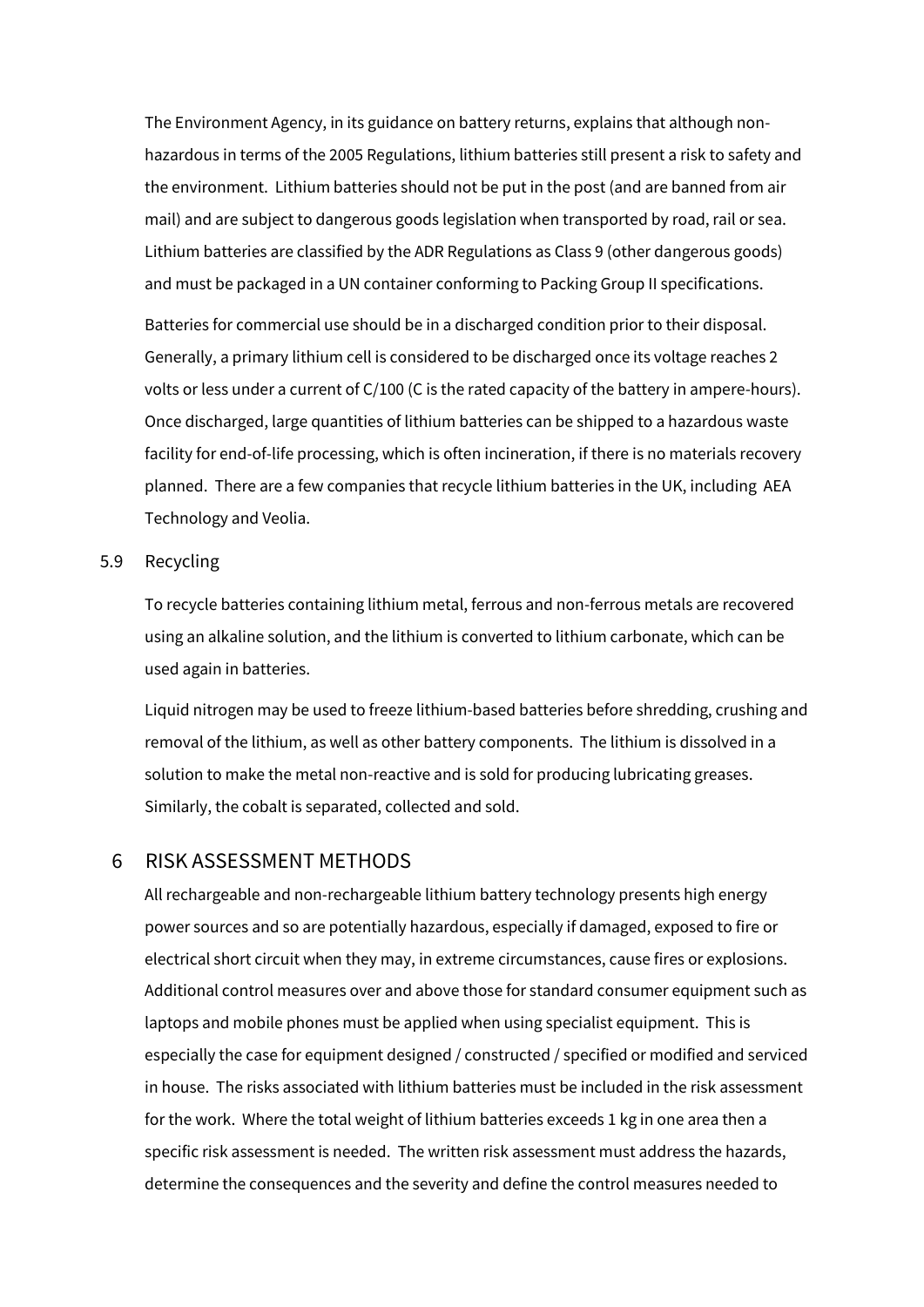The Environment Agency, in its guidance on battery returns, explains that although nonhazardous in terms of the 2005 Regulations, lithium batteries still present a risk to safety and the environment. Lithium batteries should not be put in the post (and are banned from air mail) and are subject to dangerous goods legislation when transported by road, rail or sea. Lithium batteries are classified by the ADR Regulations as Class 9 (other dangerous goods) and must be packaged in a UN container conforming to Packing Group II specifications. Batteries for commercial use should be in a discharged condition prior to their disposal. Generally, a primary lithium cell is considered to be discharged once its voltage reaches 2 volts or less under a current of C/100 (C is the rated capacity of the battery in ampere-hours). Once discharged, large quantities of lithium batteries can be shipped to a hazardous waste facility for end-of-life processing, which is often incineration, if there is no materials recovery planned. There are a few companies that recycle lithium batteries in the UK, including AEA Technology and Veolia.

#### 5.9 Recycling

To recycle batteries containing lithium metal, ferrous and non-ferrous metals are recovered using an alkaline solution, and the lithium is converted to lithium carbonate, which can be used again in batteries.

Liquid nitrogen may be used to freeze lithium-based batteries before shredding, crushing and removal of the lithium, as well as other battery components. The lithium is dissolved in a solution to make the metal non-reactive and is sold for producing lubricating greases. Similarly, the cobalt is separated, collected and sold.

# 6 RISK ASSESSMENT METHODS

All rechargeable and non-rechargeable lithium battery technology presents high energy power sources and so are potentially hazardous, especially if damaged, exposed to fire or electrical short circuit when they may, in extreme circumstances, cause fires or explosions. Additional control measures over and above those for standard consumer equipment such as laptops and mobile phones must be applied when using specialist equipment. This is especially the case for equipment designed / constructed / specified or modified and serviced in house. The risks associated with lithium batteries must be included in the risk assessment for the work. Where the total weight of lithium batteries exceeds 1 kg in one area then a specific risk assessment is needed. The written risk assessment must address the hazards, determine the consequences and the severity and define the control measures needed to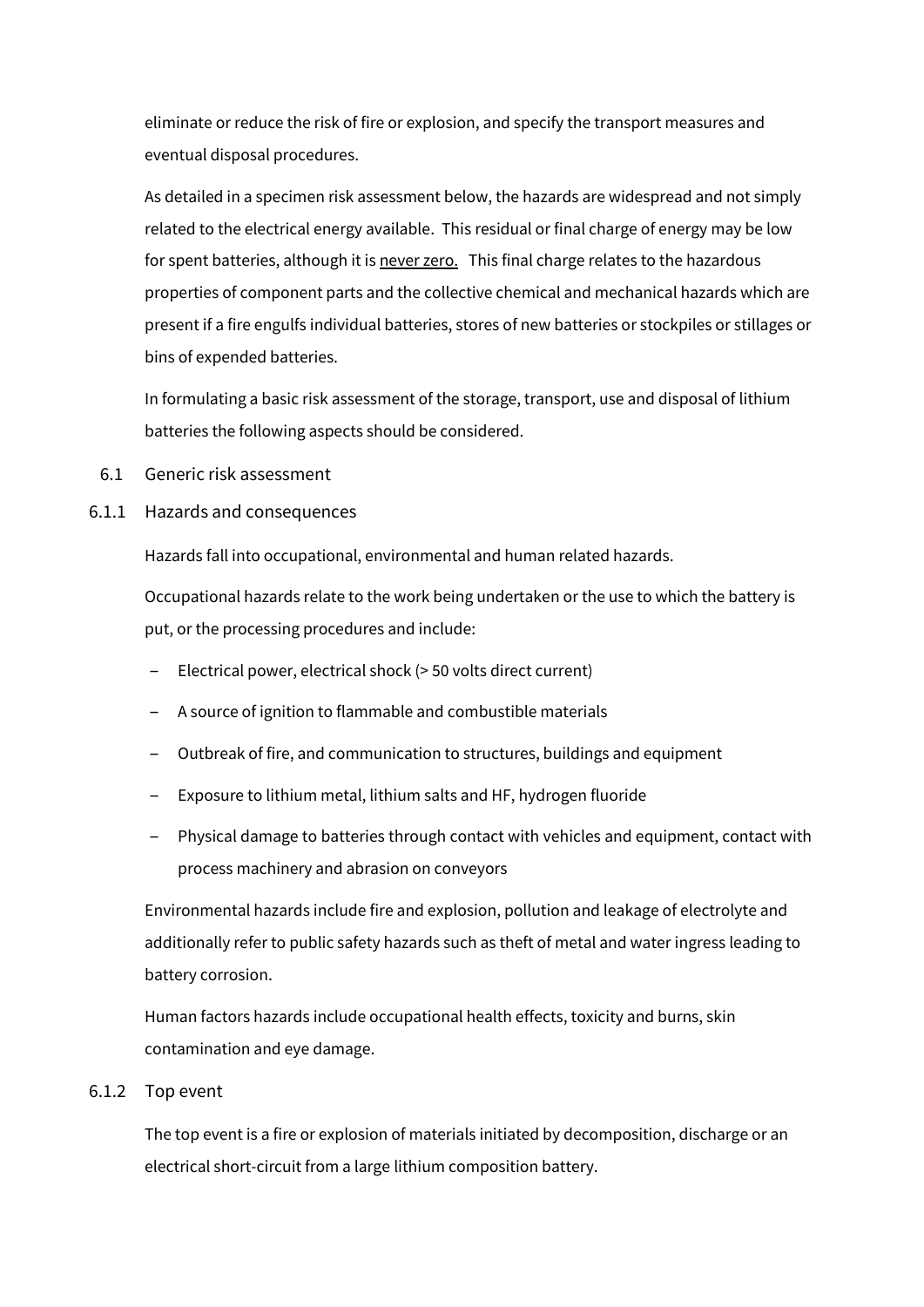eliminate or reduce the risk of fire or explosion, and specify the transport measures and eventual disposal procedures.

As detailed in a specimen risk assessment below, the hazards are widespread and not simply related to the electrical energy available. This residual or final charge of energy may be low for spent batteries, although it is never zero. This final charge relates to the hazardous properties of component parts and the collective chemical and mechanical hazards which are present if a fire engulfs individual batteries, stores of new batteries or stockpiles or stillages or bins of expended batteries.

In formulating a basic risk assessment of the storage, transport, use and disposal of lithium batteries the following aspects should be considered.

- 6.1 Generic risk assessment
- 6.1.1 Hazards and consequences

Hazards fall into occupational, environmental and human related hazards.

Occupational hazards relate to the work being undertaken or the use to which the battery is put, or the processing procedures and include:

- ‒ Electrical power, electrical shock (> 50 volts direct current)
- ‒ A source of ignition to flammable and combustible materials
- ‒ Outbreak of fire, and communication to structures, buildings and equipment
- ‒ Exposure to lithium metal, lithium salts and HF, hydrogen fluoride
- ‒ Physical damage to batteries through contact with vehicles and equipment, contact with process machinery and abrasion on conveyors

Environmental hazards include fire and explosion, pollution and leakage of electrolyte and additionally refer to public safety hazards such as theft of metal and water ingress leading to battery corrosion.

Human factors hazards include occupational health effects, toxicity and burns, skin contamination and eye damage.

# 6.1.2 Top event

The top event is a fire or explosion of materials initiated by decomposition, discharge or an electrical short-circuit from a large lithium composition battery.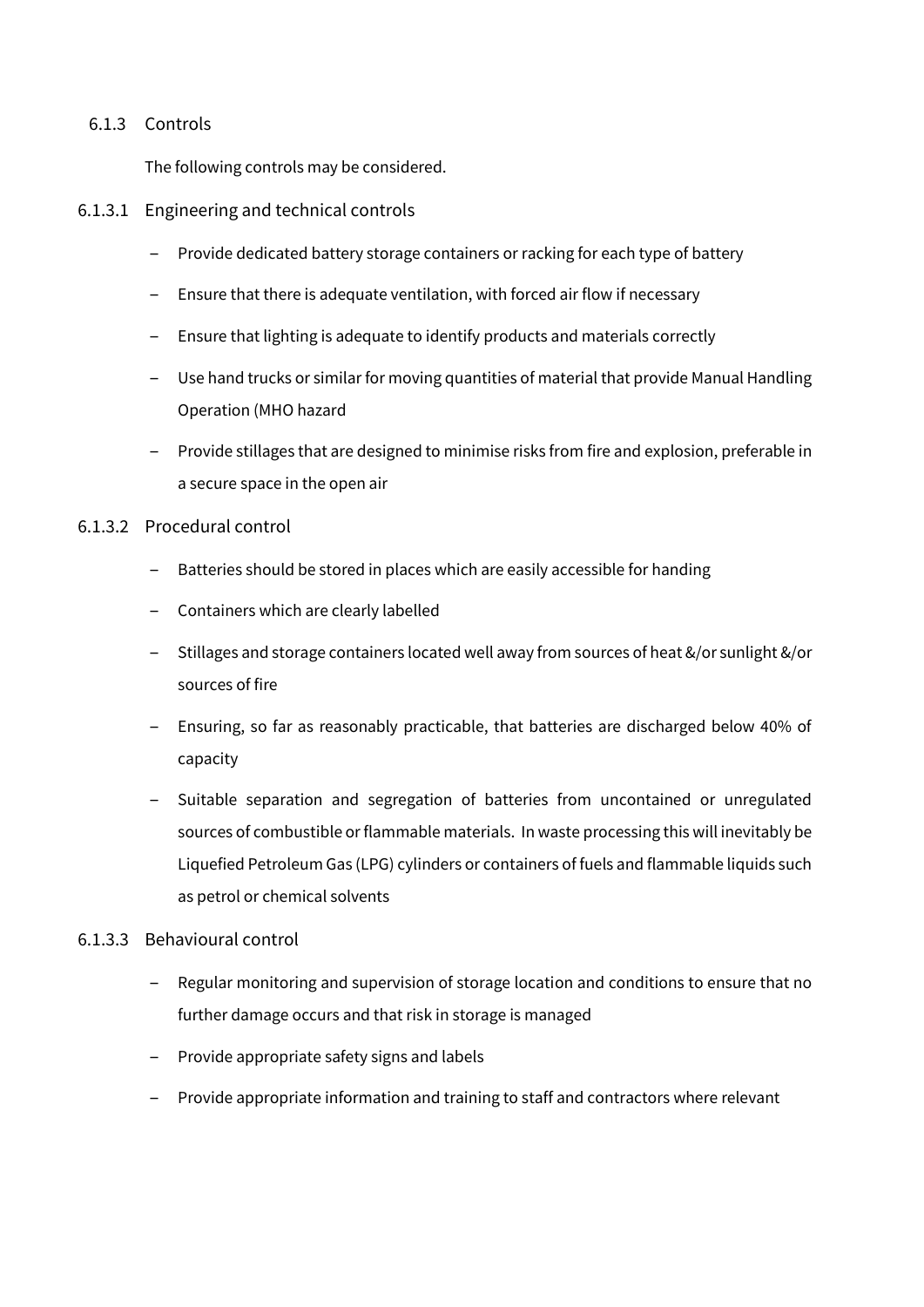# 6.1.3 Controls

The following controls may be considered.

- 6.1.3.1 Engineering and technical controls
	- Provide dedicated battery storage containers or racking for each type of battery
	- Ensure that there is adequate ventilation, with forced air flow if necessary
	- Ensure that lighting is adequate to identify products and materials correctly
	- ‒ Use hand trucks or similar for moving quantities of material that provide Manual Handling Operation (MHO hazard
	- ‒ Provide stillages that are designed to minimise risks from fire and explosion, preferable in a secure space in the open air
- 6.1.3.2 Procedural control
	- Batteries should be stored in places which are easily accessible for handing
	- ‒ Containers which are clearly labelled
	- ‒ Stillages and storage containers located well away from sources of heat &/or sunlight &/or sources of fire
	- ‒ Ensuring, so far as reasonably practicable, that batteries are discharged below 40% of capacity
	- ‒ Suitable separation and segregation of batteries from uncontained or unregulated sources of combustible or flammable materials. In waste processing this will inevitably be Liquefied Petroleum Gas (LPG) cylinders or containers of fuels and flammable liquids such as petrol or chemical solvents

# 6.1.3.3 Behavioural control

- Regular monitoring and supervision of storage location and conditions to ensure that no further damage occurs and that risk in storage is managed
- ‒ Provide appropriate safety signs and labels
- ‒ Provide appropriate information and training to staff and contractors where relevant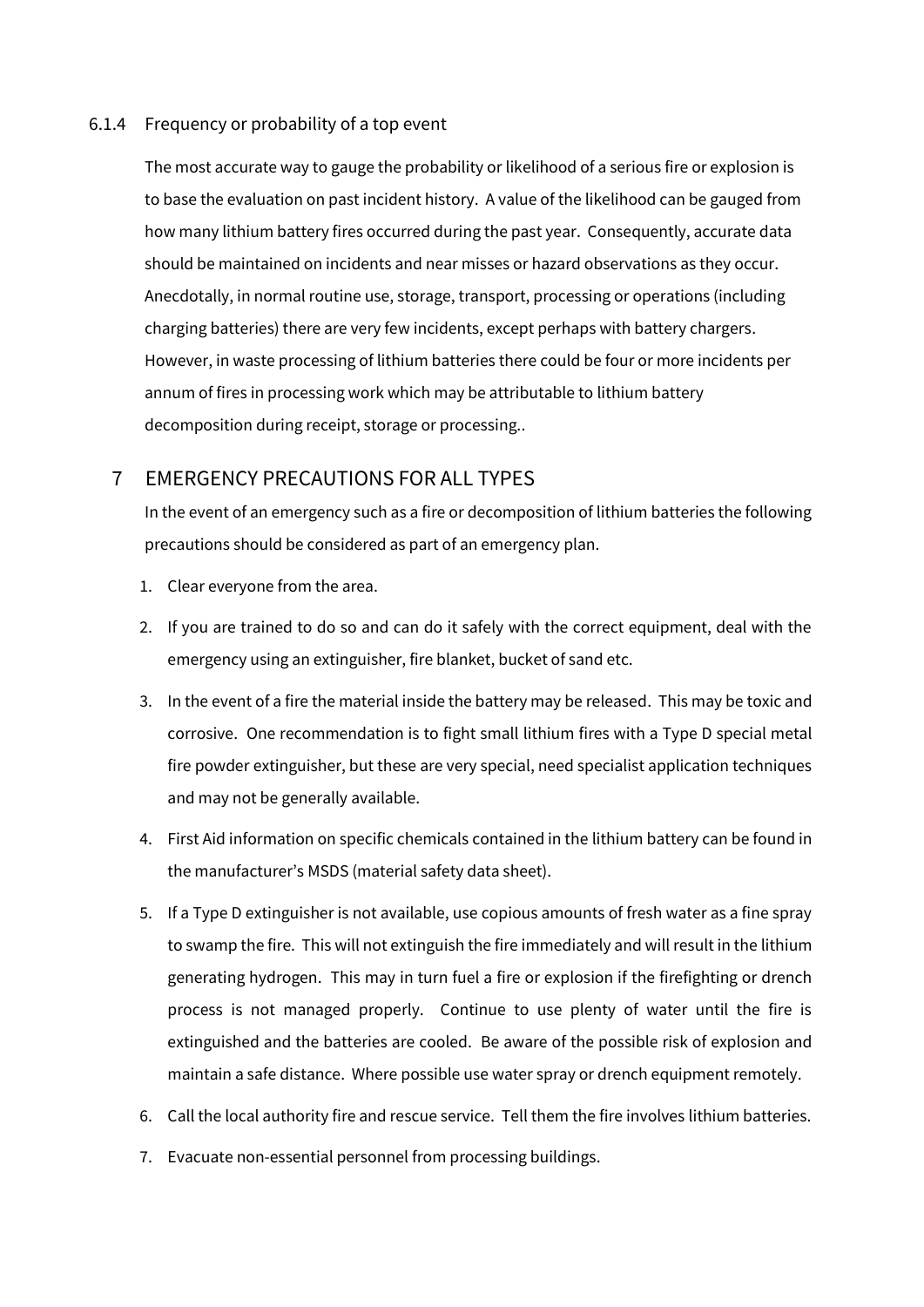#### 6.1.4 Frequency or probability of a top event

The most accurate way to gauge the probability or likelihood of a serious fire or explosion is to base the evaluation on past incident history. A value of the likelihood can be gauged from how many lithium battery fires occurred during the past year. Consequently, accurate data should be maintained on incidents and near misses or hazard observations as they occur. Anecdotally, in normal routine use, storage, transport, processing or operations (including charging batteries) there are very few incidents, except perhaps with battery chargers. However, in waste processing of lithium batteries there could be four or more incidents per annum of fires in processing work which may be attributable to lithium battery decomposition during receipt, storage or processing..

# 7 EMERGENCY PRECAUTIONS FOR ALL TYPES

In the event of an emergency such as a fire or decomposition of lithium batteries the following precautions should be considered as part of an emergency plan.

- 1. Clear everyone from the area.
- 2. If you are trained to do so and can do it safely with the correct equipment, deal with the emergency using an extinguisher, fire blanket, bucket of sand etc.
- 3. In the event of a fire the material inside the battery may be released. This may be toxic and corrosive. One recommendation is to fight small lithium fires with a Type D special metal fire powder extinguisher, but these are very special, need specialist application techniques and may not be generally available.
- 4. First Aid information on specific chemicals contained in the lithium battery can be found in the manufacturer's MSDS (material safety data sheet).
- 5. If a Type D extinguisher is not available, use copious amounts of fresh water as a fine spray to swamp the fire. This will not extinguish the fire immediately and will result in the lithium generating hydrogen. This may in turn fuel a fire or explosion if the firefighting or drench process is not managed properly. Continue to use plenty of water until the fire is extinguished and the batteries are cooled. Be aware of the possible risk of explosion and maintain a safe distance. Where possible use water spray or drench equipment remotely.
- 6. Call the local authority fire and rescue service. Tell them the fire involves lithium batteries.
- 7. Evacuate non-essential personnel from processing buildings.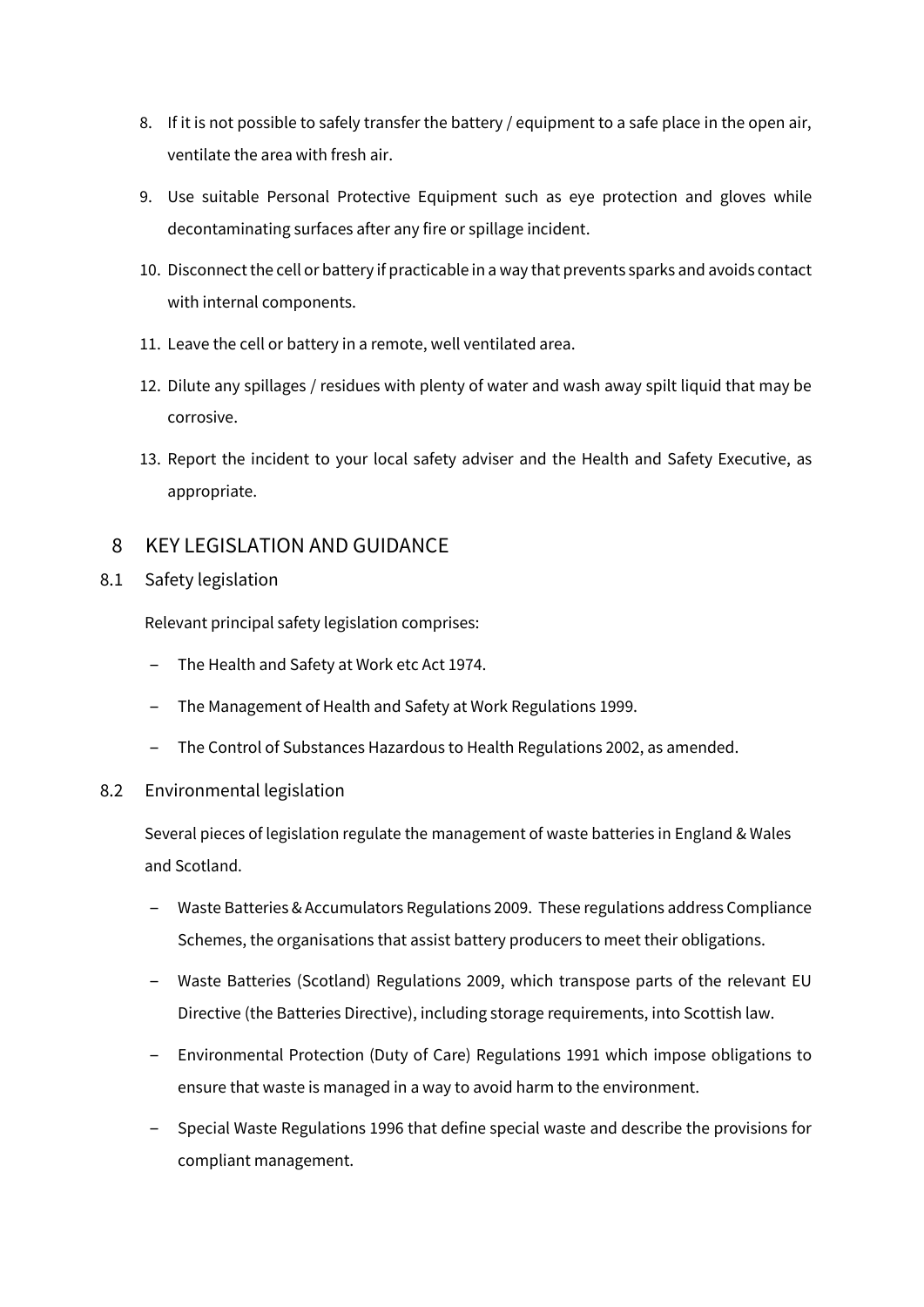- 8. If it is not possible to safely transfer the battery / equipment to a safe place in the open air, ventilate the area with fresh air.
- 9. Use suitable Personal Protective Equipment such as eye protection and gloves while decontaminating surfaces after any fire or spillage incident.
- 10. Disconnect the cell or battery if practicable in a way that prevents sparks and avoids contact with internal components.
- 11. Leave the cell or battery in a remote, well ventilated area.
- 12. Dilute any spillages / residues with plenty of water and wash away spilt liquid that may be corrosive.
- 13. Report the incident to your local safety adviser and the Health and Safety Executive, as appropriate.

# 8 KEY LEGISLATION AND GUIDANCE

# 8.1 Safety legislation

Relevant principal safety legislation comprises:

- ‒ The Health and Safety at Work etc Act 1974.
- ‒ The Management of Health and Safety at Work Regulations 1999.
- ‒ The Control of Substances Hazardous to Health Regulations 2002, as amended.

# 8.2 Environmental legislation

Several pieces of legislation regulate the management of waste batteries in England & Wales and Scotland.

- ‒ Waste Batteries & Accumulators Regulations 2009. These regulations address Compliance Schemes, the organisations that assist battery producers to meet their obligations.
- ‒ Waste Batteries (Scotland) Regulations 2009, which transpose parts of the relevant EU Directive (the Batteries Directive), including storage requirements, into Scottish law.
- ‒ Environmental Protection (Duty of Care) Regulations 1991 which impose obligations to ensure that waste is managed in a way to avoid harm to the environment.
- ‒ Special Waste Regulations 1996 that define special waste and describe the provisions for compliant management.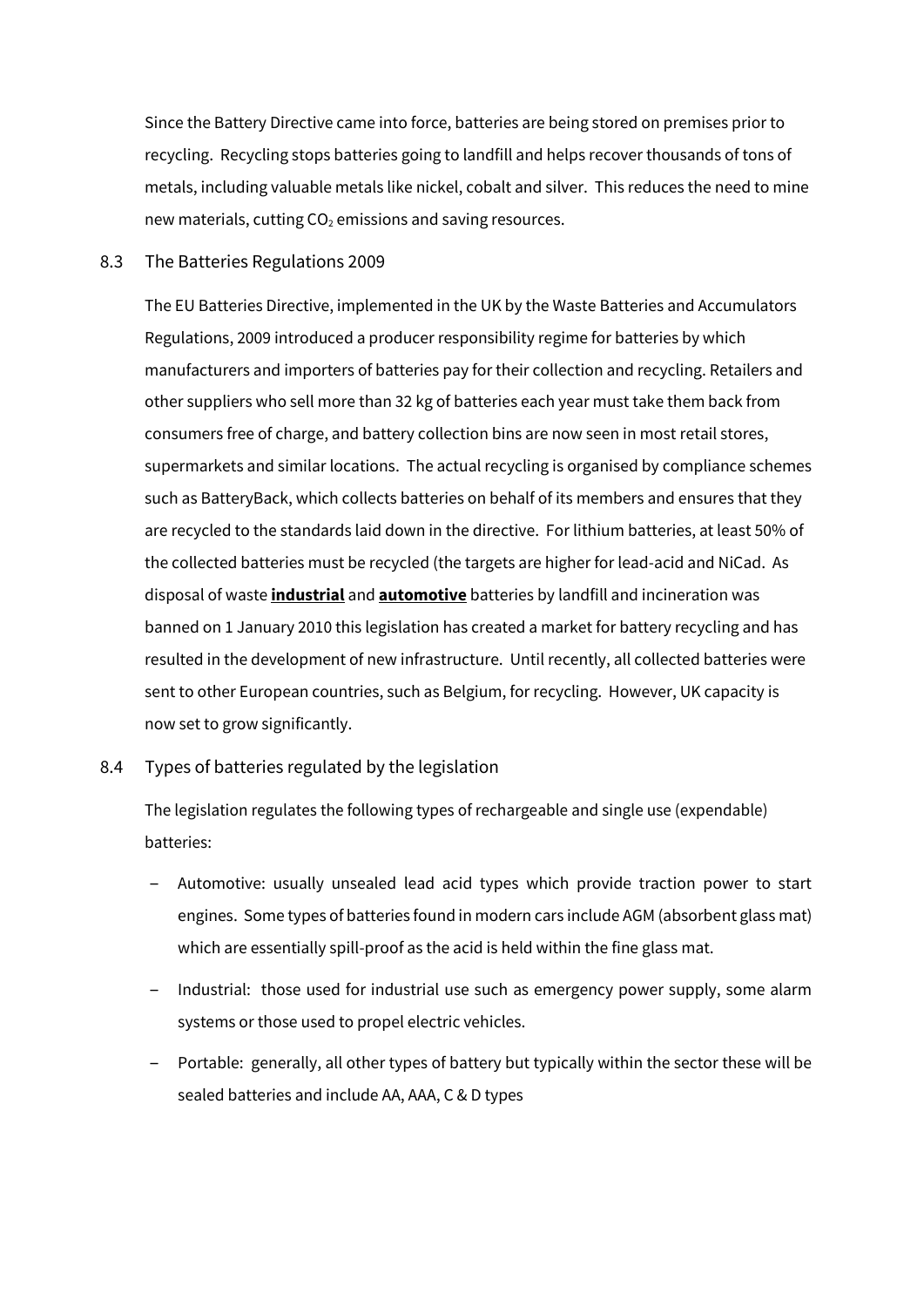Since the Battery Directive came into force, batteries are being stored on premises prior to recycling. Recycling stops batteries going to landfill and helps recover thousands of tons of metals, including valuable metals like nickel, cobalt and silver. This reduces the need to mine new materials, cutting  $CO<sub>2</sub>$  emissions and saving resources.

#### 8.3 The Batteries Regulations 2009

The EU Batteries Directive, implemented in the UK by the Waste Batteries and Accumulators Regulations, 2009 introduced a producer responsibility regime for batteries by which manufacturers and importers of batteries pay for their collection and recycling. Retailers and other suppliers who sell more than 32 kg of batteries each year must take them back from consumers free of charge, and battery collection bins are now seen in most retail stores, supermarkets and similar locations. The actual recycling is organised by compliance schemes such as BatteryBack, which collects batteries on behalf of its members and ensures that they are recycled to the standards laid down in the directive. For lithium batteries, at least 50% of the collected batteries must be recycled (the targets are higher for lead-acid and NiCad. As disposal of waste **industrial** and **automotive** batteries by landfill and incineration was banned on 1 January 2010 this legislation has created a market for battery recycling and has resulted in the development of new infrastructure. Until recently, all collected batteries were sent to other European countries, such as Belgium, for recycling. However, UK capacity is now set to grow significantly.

# 8.4 Types of batteries regulated by the legislation

The legislation regulates the following types of rechargeable and single use (expendable) batteries:

- ‒ Automotive: usually unsealed lead acid types which provide traction power to start engines. Some types of batteries found in modern cars include AGM (absorbent glass mat) which are essentially spill-proof as the acid is held within the fine glass mat.
- ‒ Industrial: those used for industrial use such as emergency power supply, some alarm systems or those used to propel electric vehicles.
- Portable: generally, all other types of battery but typically within the sector these will be sealed batteries and include AA, AAA, C & D types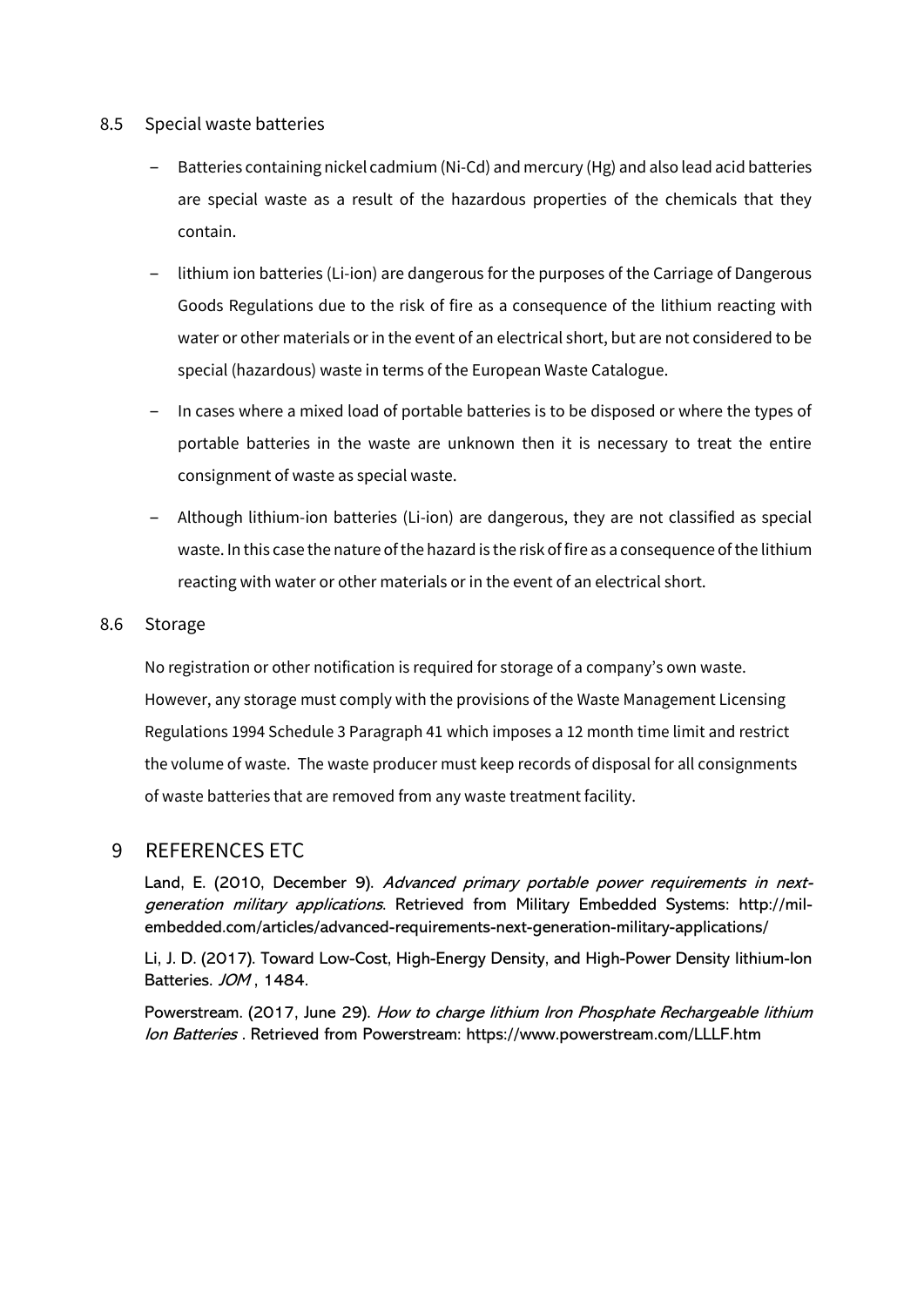# 8.5 Special waste batteries

- ‒ Batteries containing nickel cadmium (Ni-Cd) and mercury (Hg) and also lead acid batteries are special waste as a result of the hazardous properties of the chemicals that they contain.
- ‒ lithium ion batteries (Li-ion) are dangerous for the purposes of the Carriage of Dangerous Goods Regulations due to the risk of fire as a consequence of the lithium reacting with water or other materials or in the event of an electrical short, but are not considered to be special (hazardous) waste in terms of the European Waste Catalogue.
- ‒ In cases where a mixed load of portable batteries is to be disposed or where the types of portable batteries in the waste are unknown then it is necessary to treat the entire consignment of waste as special waste.
- ‒ Although lithium-ion batteries (Li-ion) are dangerous, they are not classified as special waste. In this case the nature of the hazard is the risk of fire as a consequence of the lithium reacting with water or other materials or in the event of an electrical short.

# 8.6 Storage

No registration or other notification is required for storage of a company's own waste. However, any storage must comply with the provisions of the Waste Management Licensing Regulations 1994 Schedule 3 Paragraph 41 which imposes a 12 month time limit and restrict the volume of waste. The waste producer must keep records of disposal for all consignments of waste batteries that are removed from any waste treatment facility.

# 9 REFERENCES ETC

Land, E. (2010, December 9). Advanced primary portable power requirements in nextgeneration military applications. Retrieved from Military Embedded Systems: http://milembedded.com/articles/advanced-requirements-next-generation-military-applications/

Li, J. D. (2017). Toward Low-Cost, High-Energy Density, and High-Power Density lithium-Ion Batteries. JOM, 1484.

Powerstream. (2017, June 29). How to charge lithium Iron Phosphate Rechargeable lithium Ion Batteries . Retrieved from Powerstream: https://www.powerstream.com/LLLF.htm